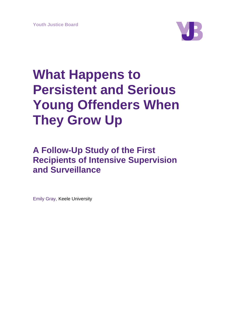

# **What Happens to Persistent and Serious Young Offenders When They Grow Up**

# **A Follow-Up Study of the First Recipients of Intensive Supervision and Surveillance**

Emily Gray, Keele University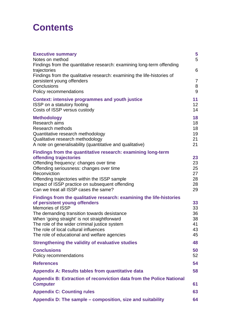# **Contents**

| <b>Executive summary</b><br>Notes on method                                                                                                                                                                                                                                                                                                                               | 5<br>5                                 |
|---------------------------------------------------------------------------------------------------------------------------------------------------------------------------------------------------------------------------------------------------------------------------------------------------------------------------------------------------------------------------|----------------------------------------|
| Findings from the quantitative research: examining long-term offending<br>trajectories                                                                                                                                                                                                                                                                                    | 6                                      |
| Findings from the qualitative research: examining the life-histories of<br>persistent young offenders<br>Conclusions                                                                                                                                                                                                                                                      | $\overline{7}$<br>8                    |
| Policy recommendations                                                                                                                                                                                                                                                                                                                                                    | 9                                      |
| <b>Context: intensive programmes and youth justice</b><br><b>ISSP</b> on a statutory footing<br>Costs of ISSP versus custody                                                                                                                                                                                                                                              | 11<br>12 <sub>2</sub><br>14            |
| <b>Methodology</b><br>Research aims<br><b>Research methods</b><br>Quantitative research methodology<br>Qualitative research methodology<br>A note on generalisability (quantitative and qualitative)                                                                                                                                                                      | 18<br>18<br>18<br>19<br>21<br>21       |
| Findings from the quantitative research: examining long-term<br>offending trajectories<br>Offending frequency: changes over time<br>Offending seriousness: changes over time<br>Reconviction<br>Offending trajectories within the ISSP sample<br>Impact of ISSP practice on subsequent offending<br>Can we treat all ISSP cases the same?                                 | 23<br>23<br>25<br>27<br>28<br>28<br>29 |
| Findings from the qualitative research: examining the life-histories<br>of persistent young offenders<br><b>Memories of ISSP</b><br>The demanding transition towards desistance<br>When 'going straight' is not straightforward<br>The role of the wider criminal justice system<br>The role of local cultural influences<br>The role of educational and welfare agencies | 33<br>33<br>36<br>38<br>41<br>43<br>45 |
| <b>Strengthening the validity of evaluative studies</b>                                                                                                                                                                                                                                                                                                                   | 48                                     |
| <b>Conclusions</b><br>Policy recommendations                                                                                                                                                                                                                                                                                                                              | 50<br>52                               |
| <b>References</b>                                                                                                                                                                                                                                                                                                                                                         | 54                                     |
| <b>Appendix A: Results tables from quantitative data</b>                                                                                                                                                                                                                                                                                                                  | 58                                     |
| <b>Appendix B: Extraction of reconviction data from the Police National</b><br><b>Computer</b>                                                                                                                                                                                                                                                                            | 61                                     |
| <b>Appendix C: Counting rules</b>                                                                                                                                                                                                                                                                                                                                         | 63                                     |
| Appendix D: The sample – composition, size and suitability                                                                                                                                                                                                                                                                                                                | 64                                     |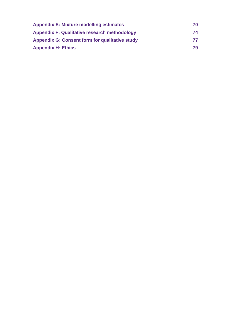| <b>Appendix E: Mixture modelling estimates</b>        | 70 |
|-------------------------------------------------------|----|
| <b>Appendix F: Qualitative research methodology</b>   | 74 |
| <b>Appendix G: Consent form for qualitative study</b> | 77 |
| <b>Appendix H: Ethics</b>                             | 79 |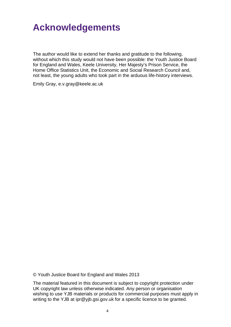# **Acknowledgements**

The author would like to extend her thanks and gratitude to the following, without which this study would not have been possible: the Youth Justice Board for England and Wales, Keele University, Her Majesty's Prison Service, the Home Office Statistics Unit, the Economic and Social Research Council and, not least, the young adults who took part in the arduous life-history interviews.

Emily Gray, e.v.gray@keele.ac.uk

© Youth Justice Board for England and Wales 2013

The material featured in this document is subject to copyright protection under UK copyright law unless otherwise indicated. Any person or organisation wishing to use YJB materials or products for commercial purposes must apply in writing to the YJB at ipr@yjb.gsi.gov.uk for a specific licence to be granted.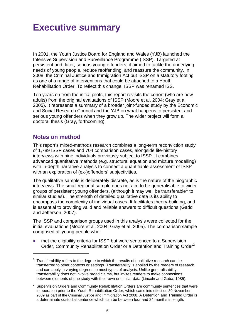# <span id="page-4-0"></span>**Executive summary**

In 2001, the Youth Justice Board for England and Wales (YJB) launched the Intensive Supervision and Surveillance Programme (ISSP). Targeted at persistent and, later, serious young offenders, it aimed to tackle the underlying needs of young people, reduce reoffending, and reassure the community. In 2008, the Criminal Justice and Immigration Act put ISSP on a statutory footing as one of a range of interventions that could be attached to a Youth Rehabilitation Order. To reflect this change, ISSP was renamed ISS.

Ten years on from the initial pilots, this report revisits the cohort (who are now adults) from the original evaluations of ISSP (Moore et al, 2004; Gray et al, 2005). It represents a summary of a broader joint-funded study by the Economic and Social Research Council and the YJB on what happens to persistent and serious young offenders when they grow up. The wider project will form a doctoral thesis (Gray, forthcoming).

### **Notes on method**

1

<span id="page-4-1"></span>This report's mixed-methods research combines a long-term reconviction study of 1,789 ISSP cases and 704 comparison cases, alongside life-history interviews with nine individuals previously subject to ISSP. It combines advanced quantitative methods (e.g. structural equation and mixture modelling) with in-depth narrative analysis to connect a quantifiable assessment of ISSP with an exploration of (ex-)offenders' subjectivities.

The qualitative sample is deliberately discrete, as is the nature of the biographic interviews. The small regional sample does not aim to be generalisable to wider groups of persistent young offenders, (although it may well be transferable<sup>[1](#page-4-2)</sup> to similar studies). The strength of detailed qualitative data is its ability to encompass the complexity of individual cases. It facilitates theory-building, and is essential to providing valid and reliable answers to difficult questions (Gadd and Jefferson, 2007).

The ISSP and comparison groups used in this analysis were collected for the initial evaluations (Moore et al, 2004; Gray et al, 2005). The comparison sample comprised all young people who:

 met the eligibility criteria for ISSP but were sentenced to a Supervision Order, Community Rehabilitation Order or a Detention and Training Order<sup>[2](#page-4-3)</sup>

<span id="page-4-2"></span> $1$  Transferability refers to the degree to which the results of qualitative research can be transferred to other contexts or settings. Transferability is applied by the readers of research and can apply in varying degrees to most types of analysis. Unlike generalisability, transferability does not involve broad claims, but invites readers to make connections between elements of one study with their own or similar data (Lincoln and Guba, 1985).

<span id="page-4-3"></span> $2$  Supervision Orders and Community Rehabilitation Orders are community sentences that were in operation prior to the Youth Rehabilitation Order, which came into effect on 30 November 2009 as part of the Criminal Justice and Immigration Act 2008. A Detention and Training Order is a determinate custodial sentence which can be between four and 24 months in length.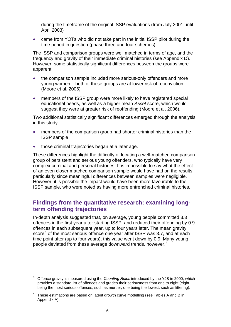during the timeframe of the original ISSP evaluations (from July 2001 until April 2003)

• came from YOTs who did not take part in the initial ISSP pilot during the time period in question (phase three and four schemes).

The ISSP and comparison groups were well matched in terms of age, and the frequency and gravity of their immediate criminal histories (see Appendix D). However, some statistically significant differences between the groups were apparent:

- the comparison sample included more serious-only offenders and more young women – both of these groups are at lower risk of reconviction (Moore et al, 2006)
- members of the ISSP group were more likely to have registered special educational needs, as well as a higher mean *Asset* score, which would suggest they were at greater risk of reoffending (Moore et al, 2006).

Two additional statistically significant differences emerged through the analysis in this study:

- members of the comparison group had shorter criminal histories than the ISSP sample
- those criminal trajectories began at a later age.

<u>.</u>

These differences highlight the difficulty of locating a well-matched comparison group of persistent and serious young offenders, who typically have very complex criminal and personal histories. It is impossible to say what the effect of an even closer matched comparison sample would have had on the results, particularly since meaningful differences between samples were negligible. However, it is possible the impact would have been more favourable to the ISSP sample, who were noted as having more entrenched criminal histories.

### <span id="page-5-0"></span>**Findings from the quantitative research: examining longterm offending trajectories**

In-depth analysis suggested that, on average, young people committed 3.3 offences in the first year after starting ISSP, and reduced their offending by 0.9 offences in each subsequent year, up to four years later. The mean gravity score<sup>[3](#page-5-1)</sup> of the most serious offence one year after ISSP was 3.7, and at each time point after (up to four years), this value went down by 0.9. Many young people deviated from these average downward trends, however.<sup>[4](#page-5-2)</sup>

<span id="page-5-1"></span><sup>3</sup> Offence gravity is measured using the *Counting Rules* introduced by the YJB in 2000, which provides a standard list of offences and grades their seriousness from one to eight (eight being the most serious offences, such as murder, one being the lowest, such as littering).

<span id="page-5-2"></span> $4$  These estimations are based on latent growth curve modelling (see Tables A and B in Appendix A).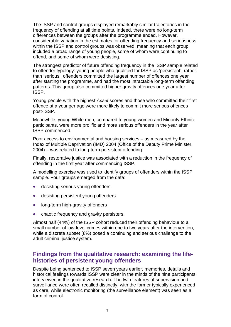The ISSP and control groups displayed remarkably similar trajectories in the frequency of offending at all time points. Indeed, there were no long-term differences between the groups after the programme ended. However, considerable variation in the estimates for offending frequency and seriousness within the ISSP and control groups was observed, meaning that each group included a broad range of young people, some of whom were continuing to offend, and some of whom were desisting.

The strongest predictor of future offending frequency in the ISSP sample related to offender typology: young people who qualified for ISSP as 'persistent', rather than 'serious', offenders committed the largest number of offences one year after starting the programme, and had the most intractable long-term offending patterns. This group also committed higher gravity offences one year after ISSP.

Young people with the highest *Asset* scores and those who committed their first offence at a younger age were more likely to commit more serious offences post-ISSP.

Meanwhile, young White men, compared to young women and Minority Ethnic participants, were more prolific and more serious offenders in the year after ISSP commenced.

Poor access to environmental and housing services – as measured by the Index of Multiple Deprivation (IMD) 2004 (Office of the Deputy Prime Minister, 2004) – was related to long-term persistent offending.

Finally, restorative justice was associated with a reduction in the frequency of offending in the first year after commencing ISSP.

A modelling exercise was used to identify groups of offenders within the ISSP sample. Four groups emerged from the data:

- desisting serious young offenders
- desisting persistent young offenders
- long-term high-gravity offenders
- chaotic frequency and gravity persisters.

Almost half (44%) of the ISSP cohort reduced their offending behaviour to a small number of low-level crimes within one to two years after the intervention, while a discrete subset (8%) posed a continuing and serious challenge to the adult criminal justice system.

### <span id="page-6-0"></span>**Findings from the qualitative research: examining the lifehistories of persistent young offenders**

Despite being sentenced to ISSP seven years earlier, memories, details and historical feelings towards ISSP were clear in the minds of the nine participants interviewed in the qualitative research. The twin features of supervision and surveillance were often recalled distinctly, with the former typically experienced as care, while electronic monitoring (the surveillance element) was seen as a form of control.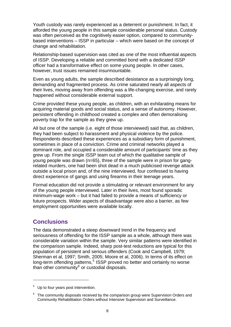Youth custody was rarely experienced as a deterrent or punishment. In fact, it afforded the young people in this sample considerable personal status. Custody was often perceived as the cognitively easier option, compared to communitybased interventions – ISSP in particular – which were based on the concept of change and rehabilitation.

Relationship-based supervision was cited as one of the most influential aspects of ISSP. Developing a reliable and committed bond with a dedicated ISSP officer had a transformative effect on some young people. In other cases, however, trust issues remained insurmountable.

Even as young adults, the sample described desistance as a surprisingly long, demanding and fragmented process. As crime saturated nearly all aspects of their lives, moving away from offending was a life-changing exercise, and rarely happened without considerable external support.

Crime provided these young people, as children, with an exhilarating means for acquiring material goods and social status, and a sense of autonomy. However, persistent offending in childhood created a complex and often demoralising poverty trap for the sample as they grew up.

All but one of the sample (i.e. eight of those interviewed) said that, as children, they had been subject to harassment and physical violence by the police. Respondents described these experiences as a subsidiary form of punishment, sometimes in place of a conviction. Crime and criminal networks played a dominant role, and occupied a considerable amount of participants' time as they grew up. From the single ISSP team out of which the qualitative sample of young people was drawn (n=65), three of the sample were in prison for gangrelated murders, one had been shot dead in a much publicised revenge attack outside a local prison and, of the nine interviewed, four confessed to having direct experience of gangs and using firearms in their teenage years.

Formal education did not provide a stimulating or relevant environment for any of the young people interviewed. Later in their lives, most found sporadic minimum-wage work – but it had failed to provide a means of sufficiency or future prospects. Wider aspects of disadvantage were also a barrier, as few employment opportunities were available locally.

# <span id="page-7-0"></span>**Conclusions**

1

The data demonstrated a steep downward trend in the frequency and seriousness of offending for the ISSP sample as a whole, although there was considerable variation within the sample. Very similar patterns were identified in the comparison sample. Indeed, sharp post-test reductions are typical for this population of persistent and serious offenders (Cook and Campbell, 1979; Sherman et al, 1997; Smith, 2005; Moore et al, 2006). In terms of its effect on long-term offending patterns,<sup>[5](#page-7-1)</sup> ISSP proved no better and certainly no worse than other community $^6$  $^6$  or custodial disposals.

<span id="page-7-1"></span><sup>5</sup> Up to four years post intervention.

<span id="page-7-2"></span> $6$  The community disposals received by the comparison group were Supervision Orders and Community Rehabilitation Orders without Intensive Supervision and Surveillance.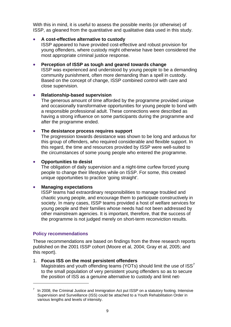With this in mind, it is useful to assess the possible merits (or otherwise) of ISSP, as gleaned from the quantitative and qualitative data used in this study.

#### **A cost-effective alternative to custody**

ISSP appeared to have provided cost-effective and robust provision for young offenders, where custody might otherwise have been considered the most appropriate criminal justice response.

#### **Perception of ISSP as tough and geared towards change**

ISSP was experienced and understood by young people to be a demanding community punishment, often more demanding than a spell in custody. Based on the concept of change, ISSP combined control with care and close supervision.

#### **•** Relationship-based supervision

The generous amount of time afforded by the programme provided unique and occasionally transformative opportunities for young people to bond with a responsible professional adult. These connections were described as having a strong influence on some participants during the programme and after the programme ended.

#### **The desistance process requires support**

The progression towards desistance was shown to be long and arduous for this group of offenders, who required considerable and flexible support. In this regard, the time and resources provided by ISSP were well-suited to the circumstances of some young people who entered the programme.

#### **Opportunities to desist**

The obligation of daily supervision and a night-time curfew forced young people to change their lifestyles while on ISSP. For some, this created unique opportunities to practice 'going straight'.

#### **Managing expectations**

ISSP teams had extraordinary responsibilities to manage troubled and chaotic young people, and encourage them to participate constructively in society. In many cases, ISSP teams provided a host of welfare services for young people and their families whose needs had not been addressed by other mainstream agencies. It is important, therefore, that the success of the programme is not judged merely on short-term reconviction results.

#### **Policy recommendations**

1

<span id="page-8-0"></span>These recommendations are based on findings from the three research reports published on the 2001 ISSP cohort (Moore et al, 2004; Gray et al, 2005; and this report).

#### 1. **Focus ISS on the most persistent offenders**

Magistrates and youth offending teams (YOTs) should limit the use of ISS<sup>[7](#page-8-1)</sup> to the small population of very persistent young offenders so as to secure the position of ISS as a genuine alternative to custody and limit net-

<span id="page-8-1"></span> $7$  In 2008, the [Criminal Justice and Immigration Act](http://www.yjb.gov.uk/en-gb/practitioners/CourtsAndOrders/CriminalJusticeandImmigrationAct/default.htm) put ISSP on a statutory footing. Intensive Supervision and Surveillance (ISS) could be attached to a Youth Rehabilitation Order in various lengths and levels of intensity.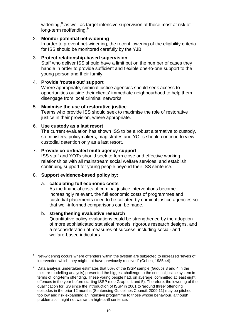widening, <sup>8</sup> as well as target intensive supervision at those most at risk of long-term reoffending.<sup>9</sup>

#### 2. **Monitor potential net-widening**

In order to prevent net-widening, the recent lowering of the eligibility criteria for ISS should be monitored carefully by the YJB.

#### 3. **Protect relationship-based supervision**

Staff who deliver ISS should have a limit put on the number of cases they handle in order to provide sufficient and flexible one-to-one support to the young person and their family.

#### 4. **Provide 'routes out' support**

Where appropriate, criminal justice agencies should seek access to opportunities outside their clients' immediate neighbourhood to help them disengage from local criminal networks.

#### 5. **Maximise the use of restorative justice**

Teams who provide ISS should seek to maximise the role of restorative justice in their provision, where appropriate.

#### 6. **Use custody as a last resort**

The current evaluation has shown ISS to be a robust alternative to custody, so ministers, policymakers, magistrates and YOTs should continue to view custodial detention only as a last resort.

#### 7. **Provide co-ordinated multi-agency support**

ISS staff and YOTs should seek to form close and effective working relationships with all mainstream social welfare services, and establish continuing support for young people beyond their ISS sentence.

#### 8. **Support evidence-based policy by:**

#### a. **calculating full economic costs**

As the financial costs of criminal justice interventions become increasingly relevant, the full economic costs of programmes and custodial placements need to be collated by criminal justice agencies so that well-informed comparisons can be made.

#### b. **strengthening evaluative research**

1

Quantitative policy evaluations could be strengthened by the adoption of more sophisticated statistical models, rigorous research designs, and a reconsideration of measures of success, including social- and welfare-based indicators.

<sup>8</sup> Net-widening occurs where offenders within the system are subjected to increased "levels of intervention which they might not have previously received" (Cohen, 1985:44).

 $9$  Data analysis undertaken estimates that 56% of the ISSP sample (Groups 3 and 4 in the mixture-modelling analysis) presented the biggest challenge to the criminal justice system in terms of long-term offending. These young people had, on average, committed at least eight offences in the year before starting ISSP (see Graphs 4 and 5). Therefore, the lowering of the qualification for ISS since the introduction of ISSP in 2001 to 'around three' offending episodes in the prior 12 months (Sentencing Guidelines Council, 2009:11) may be pitched too low and risk expanding an intensive programme to those whose behaviour, although problematic, might not warrant a high-tariff sentence.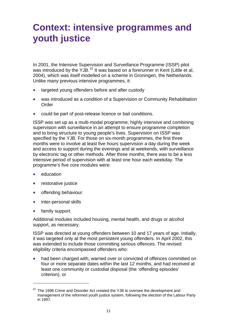# <span id="page-10-0"></span>**Context: intensive programmes and youth justice**

In 2001, the Intensive Supervision and Surveillance Programme (ISSP) pilot was introduced by the YJB.<sup>[10](#page-10-1)</sup> It was based on a forerunner in Kent (Little et al, 2004), which was itself modelled on a scheme in Groningen, the Netherlands. Unlike many previous intensive programmes, it:

- targeted young offenders before and after custody
- was introduced as a condition of a Supervision or Community Rehabilitation Order
- could be part of post-release licence or bail conditions.

ISSP was set up as a multi-modal programme, highly intensive and combining supervision with surveillance in an attempt to ensure programme completion and to bring structure to young people's lives. Supervision on ISSP was specified by the YJB. For those on six-month programmes, the first three months were to involve at least five hours supervision a day during the week and access to support during the evenings and at weekends, with surveillance by electronic tag or other methods. After three months, there was to be a less intensive period of supervision with at least one hour each weekday. The programme's five core modules were:

- education
- restorative justice
- offending behaviour
- inter-personal skills
- family support.

1

Additional modules included housing, mental health, and drugs or alcohol support, as necessary.

ISSP was directed at young offenders between 10 and 17 years of age. Initially, it was targeted only at the most persistent young offenders. In April 2002, this was extended to include those committing serious offences. The revised eligibility criteria encompassed offenders who:

 had been charged with, warned over or convicted of offences committed on four or more separate dates within the last 12 months, and had received at least one community or custodial disposal (the 'offending episodes' criterion), or

<span id="page-10-1"></span> $10$  The 1998 Crime and Disorder Act created the YJB to oversee the development and management of the reformed youth justice system, following the election of the Labour Party in 1997.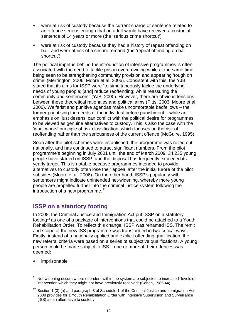- were at risk of custody because the current charge or sentence related to an offence serious enough that an adult would have received a custodial sentence of 14 years or more (the 'serious crime shortcut')
- were at risk of custody because they had a history of repeat offending on bail, and were at risk of a secure remand (the 'repeat offending on bail shortcut').

The political impetus behind the introduction of intensive programmes is often associated with the need to tackle prison overcrowding while at the same time being seen to be strengthening community provision and appearing 'tough on crime' (Merrington, 2006; Moore et al, 2006). Consistent with this, the YJB stated that its aims for ISSP were "to simultaneously tackle the underlying needs of young people; [and] reduce reoffending; while reassuring the community and sentencers" (YJB, 2000). However, there are obvious tensions between these theoretical rationales and political aims (Pitts, 2003; Moore et al, 2006). Welfarist and punitive agendas make uncomfortable bedfellows – the former prioritising the needs of the individual before punishment – while an emphasis on 'just deserts' can conflict with the political desire for programmes to be viewed as genuine alternatives to custody. This is also the case with the 'what works' principle of risk classification, which focuses on the risk of reoffending rather than the seriousness of the current offence (McGuire, 1995).

Soon after the pilot schemes were established, the programme was rolled out nationally, and has continued to attract significant numbers. From the pilot programme's beginning in July 2001 until the end of March 2009, 34,235 young people have started on ISSP, and the disposal has frequently exceeded its yearly target. This is notable because programmes intended to provide alternatives to custody often lose their appeal after the initial furore of the pilot subsides (Moore et al, 2006). On the other hand, ISSP's popularity with sentencers might indicate unintended net-widening, whereby more young people are propelled further into the criminal justice system following the introduction of a new programme.<sup>[11](#page-11-1)</sup>

# <span id="page-11-0"></span>**ISSP on a statutory footing**

In 2008, the [Criminal Justice and Immigration Act](http://www.yjb.gov.uk/en-gb/practitioners/CourtsAndOrders/CriminalJusticeandImmigrationAct/default.htm) put ISSP on a statutory footing<sup>[12](#page-11-2)</sup> as one of a package of interventions that could be attached to a Youth Rehabilitation Order. To reflect this change, ISSP was renamed ISS. The remit and scope of the new ISS programme was transformed in two critical ways. Firstly, instead of a nationally applied and explicit offending qualification, the new referral criteria were based on a series of subjective qualifications. A young person could be made subject to ISS if one or more of their offences was deemed:

imprisonable

<u>.</u>

<span id="page-11-1"></span> $11$  Net-widening occurs where offenders within the system are subjected to increased "levels of intervention which they might not have previously received" (Cohen, 1985:44).

<span id="page-11-2"></span> $12$  Section 1 (3) (a) and paragraph 3 of Schedule 1 of the Criminal Justice and Immigration Act 2008 provides for a Youth Rehabilitation Order with Intensive Supervision and Surveillance (ISS) as an alternative to custody.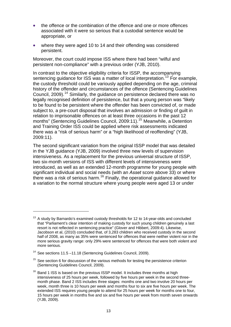- the offence or the combination of the offence and one or more offences associated with it were so serious that a custodial sentence would be appropriate, or
- where they were aged 10 to 14 and their offending was considered persistent.

Moreover, the court could impose ISS where there had been "wilful and persistent non-compliance" with a previous order (YJB, 2010).

In contrast to the objective eligibility criteria for ISSP, the accompanying sentencing guidance for ISS was a matter of local interpretation.<sup>[13](#page-12-0)</sup> For example, the custody threshold could be variously applied depending on the age, criminal history of the offender and circumstances of the offence (Sentencing Guidelines Council, 2009).<sup>[14](#page-12-1)</sup> Similarly, the guidance on persistence declared there was no legally recognised definition of persistence, but that a young person was "likely to be found to be persistent where the offender has been convicted of, or made subject to, a pre-court disposal that involves an admission or finding of guilt in relation to imprisonable offences on at least three occasions in the past 12 months" (Sentencing Guidelines Council, 2009:11).<sup>[15](#page-12-2)</sup> Meanwhile, a Detention and Training Order ISS could be applied where risk assessments indicated there was a "risk of serious harm" or a "high likelihood of reoffending" (YJB, 2009:11).

The second significant variation from the original ISSP model that was detailed in the YJB guidance (YJB, 2009) involved three new levels of supervision intensiveness. As a replacement for the previous universal structure of ISSP, two six-month versions of ISS with different levels of intensiveness were introduced, as well as an extended 12-month programme for young people with significant individual and social needs (with an *Asset* score above 33) or where there was a risk of serious harm.[16](#page-12-3) Finally, the operational guidance allowed for a variation to the normal structure where young people were aged 13 or under

<span id="page-12-0"></span> $13$  A study by Barnardo's examined custody thresholds for 12 to 14-year-olds and concluded that "Parliament's clear intention of making custody for such young children genuinely a last resort is not reflected in sentencing practice" (Glover and Hibbert, 2009:4). Likewise, Jacobson et al, (2010) concluded that, of 3,283 children who received custody in the second half of 2008, as many as 35% were sentenced for offences that were neither violent nor in the more serious gravity range: only 29% were sentenced for offences that were both violent and more serious.

<span id="page-12-1"></span><sup>&</sup>lt;sup>14</sup> See sections 11.5 –11.18 (Sentencing Guidelines Council, 2009).

<span id="page-12-2"></span> $15$  See section 6 for discussion of the various methods for testing the persistence criterion (Sentencing Guidelines Council, 2009).

<span id="page-12-3"></span> $16$  Band 1 ISS is based on the previous ISSP model. It includes three months at high intensiveness of 25 hours per week, followed by five hours per week in the second threemonth phase. Band 2 ISS includes three stages: months one and two involve 20 hours per week, month three is 10 hours per week and months four to six are five hours per week. The extended ISS requires young people to attend for 25 hours per week for months one to four, 15 hours per week in months five and six and five hours per week from month seven onwards (YJB, 2009).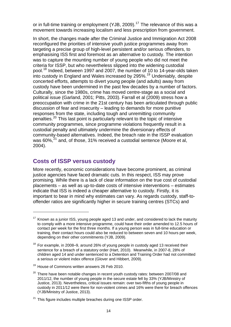or in full-time training or employment (YJB, 2009).<sup>[17](#page-13-1)</sup> The relevance of this was a movement towards increasing localism and less prescription from government.

In short, the changes made after the Criminal Justice and Immigration Act 2008 reconfigured the priorities of intensive youth justice programmes away from targeting a precise group of high-level persistent and/or serious offenders, to emphasising ISS first and foremost as an alternative to custody. The intention was to capture the mounting number of young people who did not meet the criteria for ISSP, but who nevertheless slipped into the widening custodial pool.[18](#page-13-2) Indeed, between 1997 and 2007, the number of 10 to 14-year-olds taken into custody in England and Wales increased by 295%.[19](#page-13-3) Undeniably, despite concerted efforts, attempts to divert young people (and adults) away from custody have been undermined in the past few decades by a number of factors. Culturally, since the 1980s, crime has moved centre-stage as a social and political issue (Garland, 2001; Pitts, 2003). Farrall et al (2009) stress how a preoccupation with crime in the 21st century has been articulated through public discussion of fear and insecurity – leading to demands for more punitive responses from the state, including tough and unremitting community penalties.<sup>[20](#page-13-4)</sup> This last point is particularly relevant to the topic of intensive community programmes, since programme violations frequently result in a custodial penalty and ultimately undermine the diversionary effects of community-based alternatives. Indeed, the breach rate in the ISSP evaluation was  $60\%$ <sup>[21](#page-13-5)</sup> and, of those, 31% received a custodial sentence (Moore et al, 2004).

### <span id="page-13-0"></span>**Costs of ISSP versus custody**

1

More recently, economic considerations have become prominent, as criminal justice agencies have faced dramatic cuts. In this respect, ISS may prove promising. While there is a lack of clear information on the true cost of custodial placements – as well as up-to-date costs of intensive interventions – estimates indicate that ISS is indeed a cheaper alternative to custody. Firstly, it is important to bear in mind why estimates can vary. As regards custody, staff-tooffender ratios are significantly higher in secure training centres (STCs) and

<span id="page-13-1"></span> $17$  Known as a junior ISS, young people aged 13 and under, and considered to lack the maturity to comply with a more intensive programme, could have their order amended to 12.5 hours of contact per week for the first three months. If a young person was in full-time education or training, their contact hours could also be reduced to between seven and 10 hours per week, depending on their other commitments (YJB, 2009).

<span id="page-13-2"></span> $18$  For example, in 2008–9, around 26% of young people in custody aged 13 received their sentence for a breach of a statutory order (Hart, 2010). Meanwhile, in 2007-8, 28% of children aged 14 and under sentenced to a Detention and Training Order had not committed a serious or violent index offence (Glover and Hibbert, 2009).

<span id="page-13-3"></span><sup>&</sup>lt;sup>19</sup> House of Commons written answers 26 Feb 2010.

<span id="page-13-4"></span> $20$  There have been notable changes in recent youth custody rates: between 2007/08 and 2011/12, the number of young people in the secure estate fell by 33% (YJB/Ministry of Justice, 2013). Nevertheless, critical issues remain: over two-fifths of young people in custody in 2011/12 were there for non-violent crimes and 16% were there for breach offences (YJB/Ministry of Justice, 2013).

<span id="page-13-5"></span><sup>&</sup>lt;sup>21</sup> This figure includes multiple breaches during one ISSP order.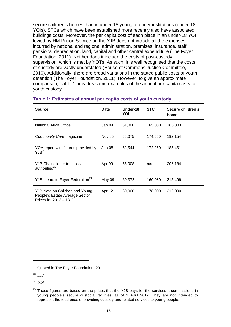secure children's homes than in under-18 young offender institutions (under-18 YOIs). STCs which have been established more recently also have associated buildings costs. Moreover, the per capita cost of each place in an under-18 YOI levied by HM Prison Service on the YJB does not include all the expenses incurred by national and regional administration, premises, insurance, staff pensions, depreciation, land, capital and other central expenditure (The Foyer Foundation, 2011). Neither does it include the costs of post-custody supervision, which is met by YOTs. As such, it is well recognised that the costs of custody are vastly understated (House of Commons Justice Committee, 2010). Additionally, there are broad variations in the stated public costs of youth detention (The Foyer Foundation, 2011). However, to give an approximate comparison, Table 1 provides some examples of the annual per capita costs for youth custody.

| <b>Source</b>                                                                                   | <b>Date</b> | Under-18<br>YOI | <b>STC</b> | Secure children's<br>home |
|-------------------------------------------------------------------------------------------------|-------------|-----------------|------------|---------------------------|
| National Audit Office                                                                           | Jan 04      | 51,000          | 165,000    | 185,000                   |
| Community Care magazine                                                                         | Nov 05      | 55,075          | 174,550    | 192,154                   |
| YOA report with figures provided by<br>YJB <sup>22</sup>                                        | Jun 08      | 53,544          | 172,260    | 185,461                   |
| YJB Chair's letter to all local<br>authorities <sup>23</sup>                                    | Apr 09      | 55,008          | n/a        | 206,184                   |
| YJB memo to Foyer Federation <sup>24</sup>                                                      | May 09      | 60,372          | 160,080    | 215,496                   |
| YJB Note on Children and Young<br>People's Estate Average Sector<br>Prices for $2012 - 13^{25}$ | Apr 12      | 60,000          | 178,000    | 212,000                   |

#### **Table 1: Estimates of annual per capita costs of youth custody**

<span id="page-14-0"></span><sup>&</sup>lt;sup>22</sup> Quoted in The Foyer Foundation, 2011.

<span id="page-14-1"></span><sup>23</sup> *ibid*.

<span id="page-14-2"></span><sup>24</sup> *ibid*.

<span id="page-14-3"></span> $25$  These figures are based on the prices that the YJB pays for the services it commissions in young people's secure custodial facilities, as of 1 April 2012. They are not intended to represent the total price of providing custody and related services to young people.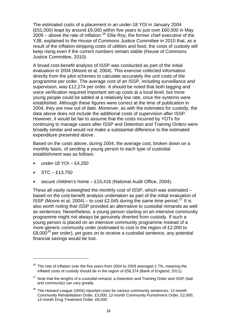The estimated costs of a placement in an under-18 YOI in January 2004 (£51,000) leapt by around £9,000 within five years to just over £60,000 in May  $2009$  – above the rate of inflation.<sup>[26](#page-15-0)</sup> Ellie Roy, the former chief executive of the YJB, explained to the House of Commons Justice Committee in 2010 that, as a result of the inflation-stripping costs of utilities and food, the costs of custody will keep rising even if the current numbers remain stable (House of Commons Justice Committee, 2010).

A broad cost-benefit analysis of ISSP was conducted as part of the initial evaluation in 2004 (Moore et al, 2004). This exercise collected information directly from the pilot schemes to calculate accurately the unit costs of the programme per order. The average cost of an ISSP, including surveillance and supervision, was £12,274 per order. It should be noted that both tagging and voice verification required important set-up costs at a local level, but more young people could be added at a relatively low rate, once the systems were established. Although these figures were correct at the time of publication in 2004, they are now out of date. Moreover, as with the estimates for custody, the data above does not include the additional costs of supervision after ISSP. However, it would be fair to assume that the costs incurred by YOTs for continuing to manage cases after ISSP and Detention and Training Orders were broadly similar and would not make a substantial difference to the estimated expenditure presented above.

Based on the costs above, during 2004, the average cost, broken down on a monthly basis, of sending a young person to each type of custodial establishment was as follows:

- under-18 YOI £4,250
- $\bullet$  STC £13,750

1

secure children's home – £15,416 (National Audit Office, 2004).

These all vastly outweighed the monthly cost of ISSP, which was estimated – based on the cost-benefit analysis undertaken as part of the initial evaluation of ISSP (Moore et al, 2004) – to cost £2,045 during the same time period.<sup>[27](#page-15-1)</sup> It is also worth noting that ISSP provided an alternative to custodial remands as well as sentences. Nevertheless, a young person starting on an intensive community programme might not always be genuinely diverted from custody. If such a young person is placed on an intensive community programme instead of a more generic community order (estimated to cost in the region of £2,000 to  $£8,000^{28}$  $£8,000^{28}$  $£8,000^{28}$  per order), yet goes on to receive a custodial sentence, any potential financial savings would be lost.

<span id="page-15-0"></span> $26$  The rate of inflation over the five years from 2004 to 2009 averaged 2.7%, meaning the inflated costs of custody should be in the region of £58,374 (Bank of England, 2011).

<span id="page-15-1"></span> $27$  Note that the lengths of a custodial remand, a Detention and Training Order and ISSP (bail and community) can vary greatly.

<span id="page-15-2"></span> $28$  The Howard League (2004) reported costs for various community sentences: 12-month Community Rehabilitation Order, £3,000; 12-month Community Punishment Order, £2,000; 12-month Drug Treatment Order, £8,000.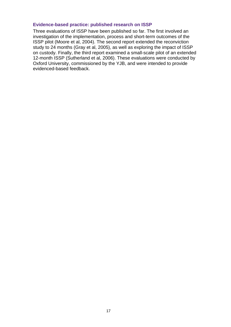#### **Evidence-based practice: published research on ISSP**

Three evaluations of ISSP have been published so far. The first involved an investigation of the implementation, process and short-term outcomes of the ISSP pilot (Moore et al, 2004). The second report extended the reconviction study to 24 months (Gray et al, 2005), as well as exploring the impact of ISSP on custody. Finally, the third report examined a small-scale pilot of an extended 12-month ISSP (Sutherland et al, 2006). These evaluations were conducted by Oxford University, commissioned by the YJB, and were intended to provide evidenced-based feedback.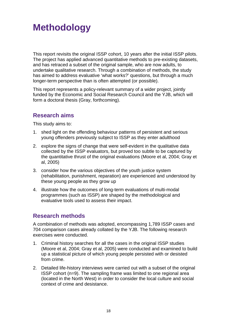# <span id="page-17-0"></span>**Methodology**

This report revisits the original ISSP cohort, 10 years after the initial ISSP pilots. The project has applied advanced quantitative methods to pre-existing datasets, and has retraced a subset of the original sample, who are now adults, to undertake qualitative research. Through a combination of methods, the study has aimed to address evaluative 'what works?' questions, but through a much longer-term perspective than is often attempted (or possible).

This report represents a policy-relevant summary of a wider project, jointly funded by the Economic and Social Research Council and the YJB, which will form a doctoral thesis (Gray, forthcoming).

# <span id="page-17-1"></span>**Research aims**

This study aims to:

- 1. shed light on the offending behaviour patterns of persistent and serious young offenders previously subject to ISSP as they enter adulthood
- 2. explore the signs of change that were self-evident in the qualitative data collected by the ISSP evaluators, but proved too subtle to be captured by the quantitative thrust of the original evaluations (Moore et al, 2004; Gray et al, 2005)
- 3. consider how the various objectives of the youth justice system (rehabilitation, punishment, reparation) are experienced and understood by these young people as they grow up
- 4. illustrate how the outcomes of long-term evaluations of multi-modal programmes (such as ISSP) are shaped by the methodological and evaluative tools used to assess their impact.

# <span id="page-17-2"></span>**Research methods**

A combination of methods was adopted, encompassing 1,789 ISSP cases and 704 comparison cases already collated by the YJB. The following research exercises were conducted.

- 1. Criminal history searches for all the cases in the original ISSP studies (Moore et al, 2004; Gray et al, 2005) were conducted and examined to build up a statistical picture of which young people persisted with or desisted from crime.
- 2. Detailed life-history interviews were carried out with a subset of the original ISSP cohort (n=9). The sampling frame was limited to one regional area (located in the North West) in order to consider the local culture and social context of crime and desistance.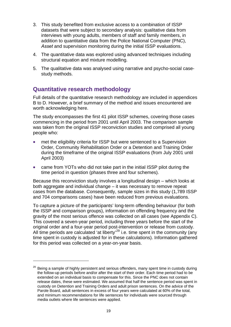- 3. This study benefited from exclusive access to a combination of ISSP datasets that were subject to secondary analysis: qualitative data from interviews with young adults, members of staff and family members, in addition to quantitative data from the Police National Computer (PNC), *Asset* and supervision monitoring during the initial ISSP evaluations.
- 4. The quantitative data was explored using advanced techniques including structural equation and mixture modelling.
- 5. The qualitative data was analysed using narrative and psycho-social casestudy methods.

### <span id="page-18-0"></span>**Quantitative research methodology**

1

Full details of the quantitative research methodology are included in appendices B to D. However, a brief summary of the method and issues encountered are worth acknowledging here.

The study encompasses the first 41 pilot ISSP schemes, covering those cases commencing in the period from 2001 until April 2003. The comparison sample was taken from the original ISSP reconviction studies and comprised all young people who:

- met the eligibility criteria for ISSP but were sentenced to a Supervision Order, Community Rehabilitation Order or a Detention and Training Order during the timeframe of the original ISSP evaluations (from July 2001 until April 2003)
- came from YOTs who did not take part in the initial ISSP pilot during the time period in question (phases three and four schemes).

Because this reconviction study involves a longitudinal design – which looks at both aggregate and individual change – it was necessary to remove repeat cases from the database. Consequently, sample sizes in this study (1,789 ISSP and 704 comparisons cases) have been reduced from previous evaluations.

To capture a picture of the participants' long-term offending behaviour (for both the ISSP and comparison groups), information on offending frequency and the gravity of the most serious offence was collected on all cases (see Appendix C). This covered a seven-year period, including three years before the start of the original order and a four-year period post-intervention or release from custody. All time periods are calculated 'at liberty'<sup>[29](#page-18-1)</sup> i.e. time spent in the community (any time spent in custody is adjusted for in these calculations). Information gathered for this period was collected on a year-on-year basis.

<span id="page-18-1"></span> $29$  Being a sample of highly persistent and serious offenders, many spent time in custody during the follow-up periods before and/or after the start of their order. Each time period had to be extended on an individual basis to compensate for this. Since the PNC does not contain release dates, these were estimated. We assumed that half the sentence period was spent in custody on Detention and Training Orders and adult prison sentences. On the advice of the Parole Board, adult sentences in excess of four years were calculated at 60% of the total, and minimum recommendations for life sentences for individuals were sourced through media outlets where life sentences were applied.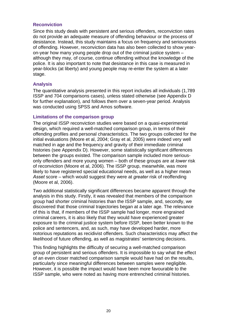#### **Reconviction**

Since this study deals with persistent and serious offenders, reconviction rates do not provide an adequate measure of offending behaviour or the process of desistance. Instead, this study maintains a focus on frequency and seriousness of offending. However, reconviction data has also been collected to show yearon-year how many young people drop out of the criminal justice system – although they may, of course, continue offending without the knowledge of the police. It is also important to note that desistance in this case is measured in year-blocks (at liberty) and young people may re-enter the system at a later stage.

#### **Analysis**

The quantitative analysis presented in this report includes all individuals (1,789 ISSP and 704 comparisons cases), unless stated otherwise (see Appendix D for further explanation), and follows them over a seven-year period. Analysis was conducted using SPSS and Amos software.

#### **Limitations of the comparison group**

The original ISSP reconviction studies were based on a quasi-experimental design, which required a well-matched comparison group, in terms of their offending profiles and personal characteristics. The two groups collected for the initial evaluations (Moore et al, 2004; Gray et al, 2005) were indeed very well matched in age and the frequency and gravity of their immediate criminal histories (see Appendix D). However, some statistically significant differences between the groups existed. The comparison sample included more seriousonly offenders and more young women – both of these groups are at *lower* risk of reconviction (Moore et al, 2006). The ISSP group, meanwhile, was more likely to have registered special educational needs, as well as a higher mean *Asset* score – which would suggest they were at *greater* risk of reoffending (Moore et al, 2006).

Two additional statistically significant differences became apparent through the analysis in this study. Firstly, it was revealed that members of the comparison group had shorter criminal histories than the ISSP sample, and, secondly, we discovered that those criminal trajectories began at a later age. The relevance of this is that, if members of the ISSP sample had longer, more engrained criminal careers, it is also likely that they would have experienced greater exposure to the criminal justice system before ISSP, been better known to the police and sentencers, and, as such, may have developed harder, more notorious reputations as recidivist offenders. Such characteristics may affect the likelihood of future offending, as well as magistrates' sentencing decisions.

This finding highlights the difficulty of securing a well-matched comparison group of persistent and serious offenders. It is impossible to say what the effect of an even closer matched comparison sample would have had on the results, particularly since meaningful differences between samples were negligible. However, it is possible the impact would have been more favourable to the ISSP sample, who were noted as having more entrenched criminal histories.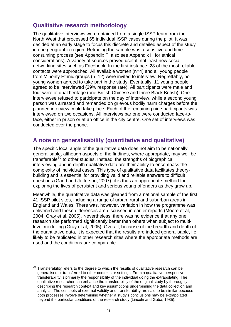# **Qualitative research methodology**

<span id="page-20-0"></span>The qualitative interviews were obtained from a single ISSP team from the North West that processed 65 individual ISSP cases during the pilot. It was decided at an early stage to focus this discrete and detailed aspect of the study in one geographic region. Retracing the sample was a sensitive and timeconsuming process (see Appendix F; also see Appendix H for ethical considerations). A variety of sources proved useful, not least new social networking sites such as Facebook. In the first instance, 28 of the most reliable contacts were approached. All available women (n=4) and all young people from Minority Ethnic groups (n=12) were invited to interview. Regrettably, no young women agreed to take part in the study. Eventually, 11 young people agreed to be interviewed (39% response rate). All participants were male and four were of dual heritage (one British Chinese and three Black British). One interviewee refused to participate on the day of interview, while a second young person was arrested and remanded on grievous bodily harm charges before the planned interview could take place. Each of the remaining nine participants was interviewed on two occasions. All interviews bar one were conducted face-toface, either in prison or at an office in the city centre. One set of interviews was conducted over the phone.

# <span id="page-20-1"></span>**A note on generalisability (quantitative and qualitative)**

The specific local angle of the qualitative data does not aim to be nationally generalisable, although aspects of the findings, where appropriate, may well be  $transferable<sup>30</sup>$  $transferable<sup>30</sup>$  $transferable<sup>30</sup>$  to other studies. Instead, the strengths of biographical interviewing and in-depth qualitative data are their ability to encompass the complexity of individual cases. This type of qualitative data facilitates theorybuilding and is essential for providing valid and reliable answers to difficult questions (Gadd and Jefferson, 2007); it is thus an appropriate method for exploring the lives of persistent and serious young offenders as they grow up.

Meanwhile, the quantitative data was gleaned from a national sample of the first 41 ISSP pilot sites, including a range of urban, rural and suburban areas in England and Wales. There was, however, variation in how the programme was delivered and these differences are discussed in earlier reports (Moore et al, 2004; Gray et al, 2005). Nevertheless, there was no evidence that any one research site performed significantly better than others when subject to multilevel modelling (Gray et al, 2005). Overall, because of the breadth and depth of the quantitative data, it is expected that the results are indeed generalisable, i.e. likely to be replicated in other research sites where the appropriate methods are used and the conditions are comparable.

<span id="page-20-2"></span> $30$  Transferability refers to the degree to which the results of qualitative research can be generalised or transferred to other contexts or settings. From a qualitative perspective, transferability is primarily the responsibility of the individual doing the extrapolating. The qualitative researcher can enhance the transferability of the original study by thoroughly describing the research context and key assumptions underpinning the data collection and analysis. The concepts of external validity and transferability are said to be similar because both processes involve determining whether a study's conclusions may be extrapolated beyond the particular conditions of the research study (Lincoln and Guba, 1985).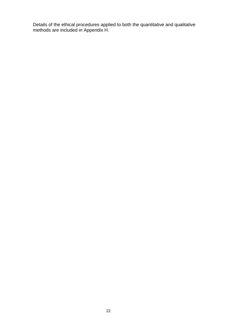Details of the ethical procedures applied to both the quantitative and qualitative methods are included in Appendix H.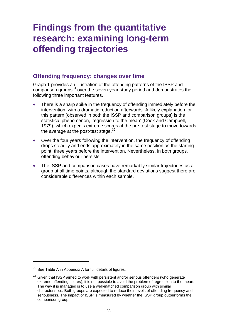# <span id="page-22-0"></span>**Findings from the quantitative research: examining long-term offending trajectories**

# **Offending frequency: changes over time**

<span id="page-22-1"></span>Graph 1 provides an illustration of the offending patterns of the ISSP and comparison groups<sup>[31](#page-22-2)</sup> over the seven-year study period and demonstrates the following three important features.

- There is a sharp spike in the frequency of offending immediately before the intervention, with a dramatic reduction afterwards. A likely explanation for this pattern (observed in both the ISSP and comparison groups) is the statistical phenomenon, 'regression to the mean' (Cook and Campbell, 1979), which expects extreme scores at the pre-test stage to move towards the average at the post-test stage. $32$
- Over the four years following the intervention, the frequency of offending drops steadily and ends approximately in the same position as the starting point, three years before the intervention. Nevertheless, in both groups, offending behaviour persists.
- The ISSP and comparison cases have remarkably similar trajectories as a group at all time points, although the standard deviations suggest there are considerable differences within each sample.

<span id="page-22-2"></span> $31$  See Table A in Appendix A for full details of figures.

<span id="page-22-3"></span> $32$  Given that ISSP aimed to work with persistent and/or serious offenders (who generate extreme offending scores), it is not possible to avoid the problem of regression to the mean. The way it is managed is to use a well-matched comparison group with similar characteristics. Both groups are expected to reduce their levels of offending frequency and seriousness. The impact of ISSP is measured by whether the ISSP group outperforms the comparison group.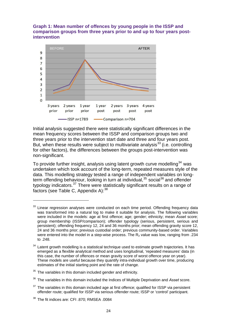#### **Graph 1: Mean number of offences by young people in the ISSP and comparison groups from three years prior to and up to four years postintervention**



Initial analysis suggested there were statistically significant differences in the mean frequency scores between the ISSP and comparison groups two and three years prior to the intervention start date and three and four years post. But, when these results were subject to multivariate analysis<sup>[33](#page-23-0)</sup> (i.e. controlling for other factors), the differences between the groups post-intervention was non-significant.

To provide further insight, analysis using latent growth curve modelling<sup>[34](#page-23-1)</sup> was undertaken which took account of the long-term, repeated measures style of the data. This modelling strategy tested a range of independent variables on longterm offending behaviour, looking in turn at individual,  $35$  social  $36$  and offender typology indicators. $37$  There were statistically significant results on a range of factors (see Table C, Appendix A):  $38$ 

<span id="page-23-0"></span><sup>&</sup>lt;sup>33</sup> Linear regression analyses were conducted on each time period. Offending frequency data was transformed into a natural log to make it suitable for analysis. The following variables were included in the models: age at first offence; age; gender; ethnicity; mean *Asset* score; group membership (ISSP/comparison); offender typology (serious, persistent, serious and persistent); offending frequency 12, 24 and 36 months prior; mean offending gravity score 12, 24 and 36 months prior; previous custodial order; previous community-based order. Variables were entered into the model in a step-wise process. The R<sub>2</sub> value was low, ranging from .234 to .248.

<span id="page-23-1"></span><sup>&</sup>lt;sup>34</sup> Latent growth modelling is a statistical technique used to estimate growth trajectories. It has emerged as a flexible analytical method and uses longitudinal, 'repeated measures' data (in this case, the number of offences or mean gravity score of worst offence year on year). These models are useful because they quantify intra-individual growth over time, producing estimates of the initial starting point and the rate of change.

<span id="page-23-2"></span> $35$  The variables in this domain included gender and ethnicity.

<span id="page-23-3"></span><sup>36</sup> The variables in this domain included the Indices of Multiple Deprivation and *Asset* score.

<span id="page-23-4"></span> $37$  The variables in this domain included age at first offence; qualified for ISSP via persistent offender route; qualified for ISSP via serious offender route; ISSP or 'control' participant.

<span id="page-23-5"></span><sup>38</sup> The fit indices are: CFI .870; RMSEA .0084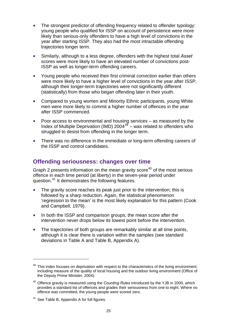- The strongest predictor of offending frequency related to offender typology: young people who qualified for ISSP on account of persistence were more likely than serious-only offenders to have a high level of convictions in the year after starting ISSP. They also had the most intractable offending trajectories longer term.
- Similarly, although to a less degree, offenders with the highest total *Asset* scores were more likely to have an elevated number of convictions post-ISSP as well as longer-term offending careers.
- Young people who received their first criminal conviction earlier than others were more likely to have a higher level of convictions in the year after ISSP, although their longer-term trajectories were not significantly different (statistically) from those who began offending later in their youth.
- Compared to young women and Minority Ethnic participants, young White men were more likely to commit a higher number of offences in the year after ISSP commenced.
- Poor access to environmental and housing services as measured by the Index of Multiple Deprivation (IMD)  $2004^{39}$  $2004^{39}$  $2004^{39}$  – was related to offenders who struggled to desist from offending in the longer term.
- There was no difference in the immediate or long-term offending careers of the ISSP and control candidates.

### <span id="page-24-0"></span>**Offending seriousness: changes over time**

Graph 2 presents information on the mean gravity score<sup>[40](#page-24-2)</sup> of the most serious offence in each time period (at liberty) in the seven-year period under question.[41](#page-24-3) It demonstrates the following features.

- The gravity score reaches its peak just prior to the intervention; this is followed by a sharp reduction. Again, the statistical phenomenon 'regression to the mean' is the most likely explanation for this pattern (Cook and Campbell, 1979).
- In both the ISSP and comparison groups, the mean score after the intervention never drops below its lowest point before the intervention.
- The trajectories of both groups are remarkably similar at all time points, although it is clear there is variation within the samples (see standard deviations in Table A and Table B, Appendix A).

<span id="page-24-1"></span> $39$  This index focuses on deprivation with respect to the characteristics of the living environment, including measure of the quality of local housing and the outdoor living environment (Office of the Deputy Prime Minister, 2004).

<span id="page-24-2"></span><sup>40</sup> Offence gravity is measured using the *Counting Rules* introduced by the YJB in 2000, which provides a standard list of offences and grades their seriousness from one to eight. Where no offence was committed, the young people were scored zero.

<span id="page-24-3"></span><sup>&</sup>lt;sup>41</sup> See Table B, Appendix A for full figures.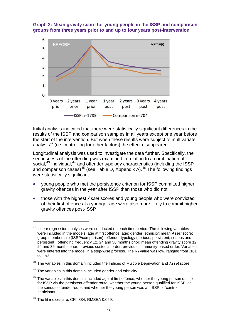



Initial analysis indicated that there were statistically significant differences in the results of the ISSP and comparison samples in all years except one year before the start of the intervention. But when these results were subject to multivariate analysis $42$  (i.e. controlling for other factors) the effect disappeared.

Longitudinal analysis was used to investigate the data further. Specifically, the seriousness of the offending was examined in relation to a combination of social,<sup>[43](#page-25-1)</sup> individual,<sup>[44](#page-25-2)</sup> and offender typology characteristics (including the ISSP and comparison cases)<sup>[45](#page-25-3)</sup> (see Table D, Appendix A).<sup>[46](#page-25-4)</sup> The following findings were statistically significant:

- young people who met the persistence criterion for ISSP committed higher gravity offences in the year after ISSP than those who did not
- those with the highest *Asset* scores and young people who were convicted of their first offence at a younger age were also more likely to commit higher gravity offences post-ISSP

<span id="page-25-0"></span><sup>42</sup> Linear regression analyses were conducted on each time period. The following variables were included in the models: age at first offence; age; gender; ethnicity; mean *Asset* score; group membership (ISSP/comparison); offender typology (serious, persistent, serious and persistent); offending frequency 12, 24 and 36 months prior; mean offending gravity score 12, 24 and 36 months prior; previous custodial order; previous community-based order. Variables were entered into the model in a step-wise process. The  $R_2$  value was low, ranging from .181 to .193.

<span id="page-25-1"></span><sup>43</sup> The variables in this domain included the Indices of Multiple Deprivation and *Asset* score.

<span id="page-25-2"></span><sup>&</sup>lt;sup>44</sup> The variables in this domain included gender and ethnicity.

<span id="page-25-3"></span><sup>&</sup>lt;sup>45</sup> The variables in this domain included age at first offence; whether the young person qualified for ISSP via the persistent offender route; whether the young person qualified for ISSP via the serious offender route; and whether the young person was an ISSP or 'control' participant.

<span id="page-25-4"></span><sup>46</sup> The fit indices are: CFI .884; RMSEA 0.069.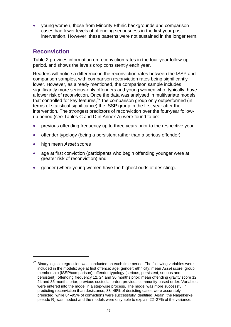young women, those from Minority Ethnic backgrounds and comparison cases had lower levels of offending seriousness in the first year postintervention. However, these patterns were not sustained in the longer term.

# <span id="page-26-0"></span>**Reconviction**

Table 2 provides information on reconviction rates in the four-year follow-up period, and shows the levels drop consistently each year.

Readers will notice a difference in the reconviction rates between the ISSP and comparison samples, with comparison reconviction rates being significantly lower. However, as already mentioned, the comparison sample includes significantly more serious-only offenders and young women who, typically, have a lower risk of reconviction. Once the data was analysed in multivariate models that controlled for key features,  $47$  the comparison group only outperformed (in terms of statistical significance) the ISSP group in the first year after the intervention. The strongest predictors of reconviction over the four-year followup period (see Tables C and D in Annex A) were found to be:

- previous offending frequency up to three years prior to the respective year
- offender typology (being a persistent rather than a serious offender)
- high mean *Asset* scores

- age at first conviction (participants who begin offending younger were at greater risk of reconviction) and
- gender (where young women have the highest odds of desisting).

<span id="page-26-1"></span><sup>47</sup> Binary logistic regression was conducted on each time period. The following variables were included in the models: age at first offence; age; gender; ethnicity; mean *Asset* score; group membership (ISSP/comparison); offender typology (serious, persistent, serious and persistent); offending frequency 12, 24 and 36 months prior; mean offending gravity score 12, 24 and 36 months prior; previous custodial order; previous community-based order. Variables were entered into the model in a step-wise process. The model was more successful in predicting reconviction than desistance; 33–49% of desisting cases were accurately predicted, while 84–95% of convictions were successfully identified. Again, the Nagelkerke pseudo  $R<sub>2</sub>$  was modest and the models were only able to explain 22–27% of the variance.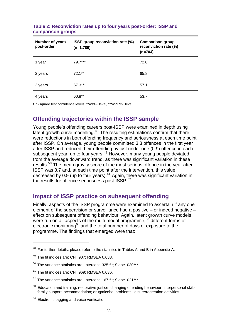| Number of years<br>post-order | ISSP group reconviction rate (%)<br>$(n=1,789)$ | <b>Comparison group</b><br>reconviction rate (%)<br>$(n=704)$ |
|-------------------------------|-------------------------------------------------|---------------------------------------------------------------|
| 1 year                        | 79.7***                                         | 72.0                                                          |
| 2 years                       | $72.1**$                                        | 65.8                                                          |
| 3 years                       | 67.3***                                         | 57.1                                                          |
| 4 years                       | 60.8**                                          | 53.7                                                          |

#### **Table 2: Reconviction rates up to four years post-order: ISSP and comparison groups**

Chi-square test confidence levels: \*\*=99% level, \*\*\*=99.9% level.

# **Offending trajectories within the ISSP sample**

<span id="page-27-0"></span>Young people's offending careers post-ISSP were examined in depth using latent growth curve modelling.<sup>[48](#page-27-2)</sup> The resulting estimations confirm that there were reductions in both offending frequency and seriousness at each time point after ISSP. On average, young people committed 3.3 offences in the first year after ISSP and reduced their offending by just under one (0.9) offence in each subsequent year, up to four years.[49](#page-27-3) However, many young people deviated from the average downward trend, as there was significant variation in these results.<sup>[50](#page-27-4)</sup> The mean gravity score of the most serious offence in the year after ISSP was 3.7 and, at each time point after the intervention, this value decreased by 0.9 (up to four years).<sup>[51](#page-27-5)</sup> Again, there was significant variation in the results for offence seriousness post-ISSP.<sup>[52](#page-27-6)</sup>

# <span id="page-27-1"></span>**Impact of ISSP practice on subsequent offending**

Finally, aspects of the ISSP programme were examined to ascertain if any one element of the supervision or surveillance had a positive – or indeed negative – effect on subsequent offending behaviour. Again, latent growth curve models were run on all aspects of the multi-modal programme,<sup>[53](#page-27-7)</sup> different forms of electronic monitoring<sup>[54](#page-27-8)</sup> and the total number of days of exposure to the programme. The findings that emerged were that:

<span id="page-27-2"></span><sup>&</sup>lt;sup>48</sup> For further details, please refer to the statistics in Tables A and B in Appendix A.

<span id="page-27-3"></span><sup>49</sup> The fit indices are: CFI .907; RMSEA 0.088.

<span id="page-27-4"></span><sup>50</sup> The variance statistics are: Intercept .325\*\*\*; Slope .030\*\*\*

<span id="page-27-5"></span><sup>51</sup> The fit indices are: CFI .969; RMSEA 0.036.

<span id="page-27-6"></span><sup>52</sup> The variance statistics are: Intercept .167\*\*\*; Slope .021\*\*\*

<span id="page-27-7"></span><sup>&</sup>lt;sup>53</sup> Education and training; restorative justice; changing offending behaviour; interpersonal skills; family support; accommodation; drug/alcohol problems; leisure/recreation activities.

<span id="page-27-8"></span><sup>&</sup>lt;sup>54</sup> Electronic tagging and voice verification.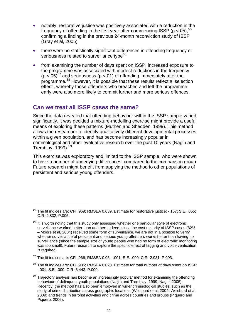- notably, restorative justice was positively associated with a reduction in the frequency of offending in the first year after commencing ISSP ( $p \lt 0.05$ ),  $55$ confirming a finding in the previous 24-month reconviction study of ISSP (Gray et al, 2005)
- there were no statistically significant differences in offending frequency or seriousness related to surveillance type<sup>[56](#page-28-2)</sup>
- from examining the number of days spent on ISSP, increased exposure to the programme was associated with modest reductions in the frequency  $(p < 0.05)^{57}$  $(p < 0.05)^{57}$  $(p < 0.05)^{57}$  and seriousness ( $p < 0.01$ ) of offending immediately after the programme.[58](#page-28-4) However, it is possible that these results reflect a 'selection effect', whereby those offenders who breached and left the programme early were also more likely to commit further and more serious offences.

### <span id="page-28-0"></span>**Can we treat all ISSP cases the same?**

1

Since the data revealed that offending behaviour within the ISSP sample varied significantly, it was decided a mixture-modelling exercise might provide a useful means of exploring these patterns (Muthen and Shedden, 1999). This method allows the researcher to identify qualitatively different developmental processes within a given population, and has become increasingly popular in criminological and other evaluative research over the past 10 years (Nagin and Tremblay,  $1999$ ).<sup>[59](#page-28-5)</sup>

This exercise was exploratory and limited to the ISSP sample, who were shown to have a number of underlying differences, compared to the comparison group. Future research might benefit from applying the method to other populations of persistent and serious young offenders.

<span id="page-28-4"></span>58 The fit indices are: CFI .985; RMSEA 0.028. Estimate for total number of days spent on ISSP -.001; S.E. .000; C.R -3.443; P.000.

<span id="page-28-1"></span><sup>55</sup> The fit indices are: CFI .969; RMSEA 0.039. Estimate for restorative justice: -.157; S.E. .055; C.R -2.832; P.005.

<span id="page-28-2"></span><sup>&</sup>lt;sup>56</sup> It is worth noting that this study only assessed whether one particular style of electronic surveillance worked better than another. Indeed, since the vast majority of ISSP cases (82% – Moore et al, 2004) received some form of surveillance, we are not in a position to verify whether surveillance of persistent and serious young offenders works better than having no surveillance (since the sample size of young people who had no form of electronic monitoring was too small). Future research to explore the specific effect of tagging and voice verification is required.

<span id="page-28-3"></span><sup>57</sup> The fit indices are: CFI .966; RMSEA 0.05. -.001; S.E. .000; C.R -2.931; P.003.

<span id="page-28-5"></span> $59$  Trajectory analysis has become an increasingly popular method for examining the offending behaviour of delinquent youth populations (Nagin and Tremblay, 1999; Nagin, 2005). Recently, the method has also been employed in wider criminological studies, such as the study of crime distribution across geographic locations (Weisburd et al, 2004; Weisburd et al, 2009) and trends in terrorist activities and crime across countries and groups (Piquero and Piquero, 2006).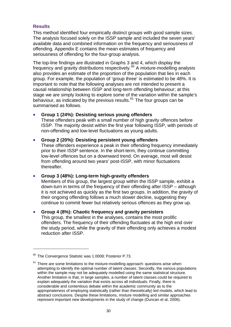#### **Results**

This method identified four empirically distinct groups with good sample sizes. The analysis focused solely on the ISSP sample and included the seven years' available data and combined information on the frequency and seriousness of offending. Appendix E contains the mean estimates of frequency and seriousness of offending for the four-group analysis.

The top-line findings are illustrated in Graphs 3 and 4, which display the frequency and gravity distributions respectively. $^{60}$  $^{60}$  $^{60}$  A mixture-modelling analysis also provides an estimate of the proportion of the population that lies in each group. For example, the population of 'group three' is estimated to be 48%. It is important to note that the following analyses are not intended to present a causal relationship between ISSP and long-term offending behaviour; at this stage we are simply looking to explore some of the variation within the sample's behaviour, as indicated by the previous results.<sup>[61](#page-29-1)</sup> The four groups can be summarised as follows.

#### **Group 1 (24%): Desisting serious young offenders**

These offenders peak with a small number of high gravity offences before ISSP. The majority desist within the first year following ISSP, with periods of non-offending and low-level fluctuations as young adults.

#### **Group 2 (20%): Desisting persistent young offenders**

These offenders experience a peak in their offending frequency immediately prior to their ISSP sentence. In the short-term, they continue committing low-level offences but on a downward trend. On average, most will desist from offending around two years' post-ISSP, with minor fluctuations thereafter.

#### **Group 3 (48%): Long-term high-gravity offenders**

Members of this group, the largest group within the ISSP sample, exhibit a down-turn in terms of the frequency of their offending after ISSP – although it is not achieved as quickly as the first two groups. In addition, the gravity of their ongoing offending follows a much slower decline, suggesting they continue to commit fewer but relatively serious offences as they grow up.

#### **Group 4 (8%): Chaotic frequency and gravity persisters**

This group, the smallest in the analyses, contains the most prolific offenders. The frequency of their offending fluctuates at the high end over the study period, while the gravity of their offending only achieves a modest reduction after ISSP.

<span id="page-29-0"></span>The Convergence Statistic was 1.0008; Posterior P.73.

<span id="page-29-1"></span> $61$  There are some limitations to the mixture-modelling approach: questions arise when attempting to identify the optimal number of latent classes. Secondly, the various populations within the sample may not be adequately modelled using the same statistical structure. Another limitation is that, in large samples, a number of latent classes could be required to explain adequately the variation that exists across all individuals. Finally, there is considerable and contentious debate within the academic community as to the appropriateness of employing statistically (rather than theoretically) led models, which lead to abstract conclusions. Despite these limitations, mixture modelling and similar approaches represent important new developments in the study of change (Duncan et al, 2006).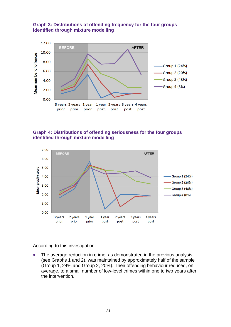

#### **Graph 3: Distributions of offending frequency for the four groups identified through mixture modelling**

#### **Graph 4: Distributions of offending seriousness for the four groups identified through mixture modelling**



According to this investigation:

 The average reduction in crime, as demonstrated in the previous analysis (see Graphs 1 and 2), was maintained by approximately half of the sample (Group 1, 24% and Group 2, 20%). Their offending behaviour reduced, on average, to a small number of low-level crimes within one to two years after the intervention.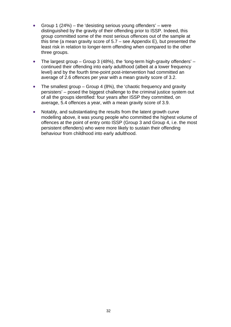- Group 1 (24%) the 'desisting serious young offenders' were distinguished by the gravity of their offending prior to ISSP. Indeed, this group committed some of the most serious offences out of the sample at this time (a mean gravity score of 5.7 – see Appendix E), but presented the least risk in relation to longer-term offending when compared to the other three groups.
- The largest group Group 3 (48%), the 'long-term high-gravity offenders' continued their offending into early adulthood (albeit at a lower frequency level) and by the fourth time-point post-intervention had committed an average of 2.6 offences per year with a mean gravity score of 3.2.
- The smallest group  $-$  Group 4 (8%), the 'chaotic frequency and gravity persisters' – posed the biggest challenge to the criminal justice system out of all the groups identified: four years after ISSP they committed, on average, 5.4 offences a year, with a mean gravity score of 3.9.
- Notably, and substantiating the results from the latent growth curve modelling above, it was young people who committed the highest volume of offences at the point of entry onto ISSP (Group 3 and Group 4, i.e. the most persistent offenders) who were more likely to sustain their offending behaviour from childhood into early adulthood.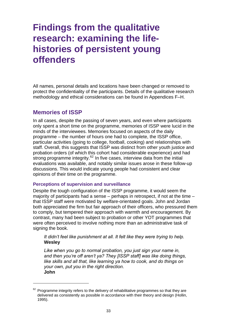# <span id="page-32-0"></span>**Findings from the qualitative research: examining the lifehistories of persistent young offenders**

All names, personal details and locations have been changed or removed to protect the confidentiality of the participants. Details of the qualitative research methodology and ethical considerations can be found in Appendices F–H.

### <span id="page-32-1"></span>**Memories of ISSP**

1

In all cases, despite the passing of seven years, and even where participants only spent a short time on the programme, memories of ISSP were lucid in the minds of the interviewees. Memories focused on aspects of the daily programme – the number of hours one had to complete, the ISSP office, particular activities (going to college, football, cooking) and relationships with staff. Overall, this suggests that ISSP was distinct from other youth justice and probation orders (of which this cohort had considerable experience) and had strong programme integrity.<sup>[62](#page-32-2)</sup> In five cases, interview data from the initial evaluations was available, and notably similar issues arose in these follow-up discussions. This would indicate young people had consistent and clear opinions of their time on the programme.

#### **Perceptions of supervision and surveillance**

Despite the tough configuration of the ISSP programme, it would seem the majority of participants had a sense – perhaps in retrospect, if not at the time – that ISSP staff were motivated by welfare-orientated goals. John and Jordan both appreciated the firm but fair approach of their officers, who pressured them to comply, but tempered their approach with warmth and encouragement. By contrast, many had been subject to probation or other YOT programmes that were often perceived to involve nothing more than an administrative task of signing the book.

#### *It didn't feel like punishment at all. It felt like they were trying to help.*  **Wesley**

*Like when you go to normal probation, you just sign your name in, and then you're off aren't ya? They [ISSP staff] was like doing things, like skills and all that, like learning ya how to cook, and do things on your own, put you in the right direction.*  **John** 

<span id="page-32-2"></span> $62$  Programme integrity refers to the delivery of rehabilitative programmes so that they are delivered as consistently as possible in accordance with their theory and design (Hollin, 1995).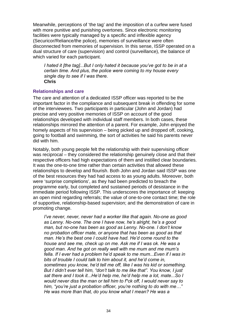Meanwhile, perceptions of 'the tag' and the imposition of a curfew were fused with more punitive and punishing overtones. Since electronic monitoring facilities were typically managed by a specific and inflexible agency (Securicor/Reliance/the police), memories of surveillance were often disconnected from memories of supervision. In this sense, ISSP operated on a dual structure of care (supervision) and control (surveillance), the balance of which varied for each participant.

*I hated it [the tag]...But I only hated it because you've got to be in at a certain time. And plus, the police were coming to my house every single day to see if I was there.*  **Chris** 

#### **Relationships and care**

The care and attention of a dedicated ISSP officer was reported to be the important factor in the compliance and subsequent break in offending for some of the interviewees. Two participants in particular (John and Jordan) had precise and very positive memories of ISSP on account of the good relationships developed with individual staff members. In both cases, these relationships mirrored the attention of a parent. For example, John enjoyed the homely aspects of his supervision – being picked up and dropped off, cooking, going to football and swimming, the sort of activities he said his parents never did with him.

Notably, both young people felt the relationship with their supervising officer was reciprocal – they considered the relationship genuinely close and that their respective officers had high expectations of them and instilled clear boundaries. It was the one-to-one time rather than certain activities that allowed these relationships to develop and flourish. Both John and Jordan said ISSP was one of the best resources they had had access to as young adults. Moreover, both were 'surprise completions', as they had been predicted to breach the programme early, but completed and sustained periods of desistance in the immediate period following ISSP. This underscores the importance of: keeping an open mind regarding referrals; the value of one-to-one contact time; the role of supportive, relationship-based supervision; and the demonstration of care in promoting change.

*I've never, never, never had a worker like that again. No-one as good as Lenny. No-one. The one I have now, he's alright, he's a good man, but no-one has been as good as Lenny. No-one. I don't know no probation officer mate, or anyone that has been as good as that man. He's the best one I could have had. He'd come round to the house and see me, check up on me. Ask me if I was ok. He was a good man. And he got on really well with me mum and me mum's fella. If I ever had a problem he'd speak to me mum...Even if I was in bits of trouble I could talk to him about it, and he'd come in, sometimes you know, he'd tell me off, like I was his kid or something. But I didn't ever tell him, "don't talk to me like that". You know, I just sat there and I took it...He'd help me, he'd help me a lot, mate...So I would never diss the man or tell him to f\*ck off, I would never say to him, "you're just a probation officer, you're nothing to do with me…" He was more than that, do you know what I mean? He was a*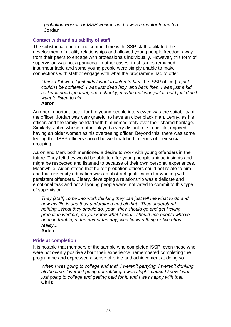*probation worker, or ISSP worker, but he was a mentor to me too.*  **Jordan** 

#### **Contact with and suitability of staff**

The substantial one-to-one contact time with ISSP staff facilitated the development of quality relationships and allowed young people freedom away from their peers to engage with professionals individually. However, this form of supervision was not a panacea: in other cases, trust issues remained insurmountable and some young people were simply unable to make connections with staff or engage with what the programme had to offer.

*I think all it was, I just didn't want to listen to him* [the ISSP officer]*, I just couldn't be bothered. I was just dead lazy, and back then, I was just a kid, so I was dead ignorant, dead cheeky, maybe that was just it, but I just didn't want to listen to him.* 

#### **Aaron**

Another important factor for the young people interviewed was the suitability of the officer. Jordan was very grateful to have an older black man, Lenny, as his officer, and the family bonded with him immediately over their shared heritage. Similarly, John, whose mother played a very distant role in his life, enjoyed having an older woman as his overseeing officer. Beyond this, there was some feeling that ISSP officers should be well-matched in terms of their social grouping.

Aaron and Mark both mentioned a desire to work with young offenders in the future. They felt they would be able to offer young people unique insights and might be respected and listened to because of their own personal experiences. Meanwhile, Aiden stated that he felt probation officers could not relate to him and that university education was an abstract qualification for working with persistent offenders. Cleary, developing a relationship was a delicate and emotional task and not all young people were motivated to commit to this type of supervision.

*They [staff] come into work thinking they can just tell me what to do and how my life is and they understand and all that...They understand nothing...What they should do, yeah, they should go and get f\*cking probation workers, do you know what I mean, should use people who've been in trouble, at the end of the day, who know a thing or two about reality...* 

**Aiden** 

#### **Pride at completion**

It is notable that members of the sample who completed ISSP, even those who were not overtly positive about their experience, remembered completing the programme and expressed a sense of pride and achievement at doing so.

*When I was going to college and that, I weren't partying, I weren't drinking all the time. I weren't going out robbing. I was alright 'cause I knew I was just going to college and getting paid for it, and I was happy with that.*  **Chris**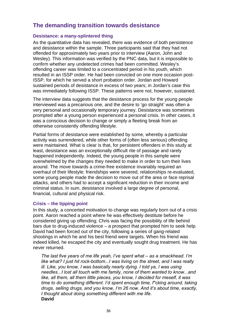# <span id="page-35-0"></span>**The demanding transition towards desistance**

#### **Desistance: a many-splintered thing**

As the quantitative data has revealed, there was evidence of both persistence and desistance within the sample. Three participants said that they had not offended for approximately two years prior to interview (Aaron, John and Wesley). This information was verified by the PNC data, but it is impossible to confirm whether any undetected crimes had been committed. Wesley's offending career was limited to a concentrated period in his youth, which resulted in an ISSP order. He had been convicted on one more occasion post-ISSP, for which he served a short probation order. Jordan and Howard sustained periods of desistance in excess of two years; in Jordan's case this was immediately following ISSP. These patterns were not, however, sustained.

The interview data suggests that the desistance process for the young people interviewed was a precarious one, and the desire to 'go straight' was often a very personal and occasionally temporary journey. Desistance was sometimes prompted after a young person experienced a personal crisis. In other cases, it was a conscious decision to change or simply a fleeting break from an otherwise consistently offending lifestyle.

Partial forms of desistance were established by some, whereby a particular activity was surrendered, while other forms of (often less serious) offending were maintained. What is clear is that, for persistent offenders in this study at least, desistance was an exceptionally difficult rite of passage and rarely happened independently. Indeed, the young people in this sample were overwhelmed by the changes they needed to make in order to turn their lives around. The move towards a crime-free existence invariably required an overhaul of their lifestyle: friendships were severed, relationships re-evaluated, some young people made the decision to move out of the area or face reprisal attacks, and others had to accept a significant reduction in their income and criminal status. In sum, desistance involved a large degree of personal, financial, cultural and physical risk.

#### **Crisis – the tipping point**

In this study, a concerted motivation to change was regularly born out of a crisis point. Aaron reached a point where he was effectively destitute before he considered giving up offending; Chris was facing the possibility of life behind bars due to drug-induced violence – a prospect that prompted him to seek help. David had been forced out of the city, following a series of gang-related shootings in which he and his best friend were targets. When his friend was indeed killed, he escaped the city and eventually sought drug treatment. He has never returned.

*The last five years of me life yeah, I've spent what – as a smackhead. I'm like what? I just hit rock-bottom...I was living on the street, and I was really ill. Like, you know, I was basically nearly dying. I told ya, I was using needles...I lost all touch with me family, none of them wanted to know...and like, all them, all them little pieces, you know, I decided for meself, it was time to do something different. I'd spent enough time, f\*cking around, taking drugs, selling drugs, and you know, I'm 26 now. And it's about time, exactly, I thought about doing something different with me life.*  **David**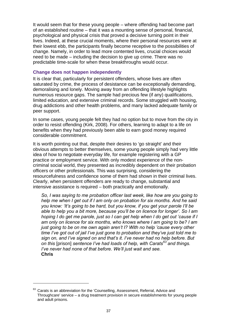It would seem that for these young people – where offending had become part of an established routine – that it was a mounting sense of personal, financial, psychological and physical crisis that proved a decisive turning point in their lives. Indeed, at these crucial moments, where their personal resources were at their lowest ebb, the participants finally become receptive to the possibilities of change. Namely, in order to lead more contented lives, crucial choices would need to be made – including the decision to give up crime. There was no predictable time-scale for when these breakthroughs would occur.

#### **Change does not happen independently**

It is clear that, particularly for persistent offenders, whose lives are often saturated by crime, the process of desistance can be exceptionally demanding, demoralising and lonely. Moving away from an offending lifestyle highlights numerous resource gaps. The sample had precious few (if any) qualifications, limited education, and extensive criminal records. Some struggled with housing, drug addictions and other health problems, and many lacked adequate family or peer support.

In some cases, young people felt they had no option but to move from the city in order to resist offending (Kirk, 2008). For others, learning to adapt to a life on benefits when they had previously been able to earn good money required considerable commitment.

It is worth pointing out that, despite their desires to 'go straight' and their obvious attempts to better themselves, some young people simply had very little idea of how to negotiate everyday life, for example registering with a GP practice or employment service. With only modest experience of the noncriminal social world, they presented as incredibly dependent on their probation officers or other professionals. This was surprising, considering the resourcefulness and confidence some of them had shown in their criminal lives. Clearly, when persistent offenders are ready to change, substantial and intensive assistance is required – both practically and emotionally.

*So, I was saying to me probation officer last week, like how are you going to help me when I get out if I am only on probation for six months. And he said you know: 'It's going to be hard, but you know, if you get your parole I'll be able to help you a bit more, because you'll be on licence for longer'. So I am hoping I do get me parole, just so I can get help when I do get out 'cause if I am only on licence for six months, who knows where I am going to be? I am just going to be on me own again aren't I? With no help 'cause every other time I've got out of jail I've just gone to probation and they've just told me to sign on, and I've signed on and that's it. I've never had no help before. But on this* [prison] *sentence I've had loads of help, with Carats[63](#page-36-0) and things. I've never had none of that before. We'll just wait and see.*  **Chris**

<span id="page-36-0"></span> $63$  Carats is an abbreviation for the 'Counselling, Assessment, Referral, Advice and Throughcare' service – a drug treatment provision in secure establishments for young people and adult prisons.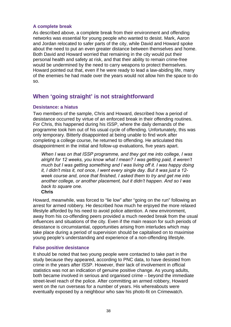### **A complete break**

As described above, a complete break from their environment and offending networks was essential for young people who wanted to desist. Mark, Aaron and Jordan relocated to safer parts of the city, while David and Howard spoke about the need to put an even greater distance between themselves and home. Both David and Howard worried that remaining in the city would put their personal health and safety at risk, and that their ability to remain crime-free would be undermined by the need to carry weapons to protect themselves. Howard pointed out that, even if he were ready to lead a law-abiding life, many of the enemies he had made over the years would not allow him the space to do so.

# **When 'going straight' is not straightforward**

## **Desistance: a hiatus**

Two members of the sample, Chris and Howard, described how a period of desistance occurred by virtue of an enforced break in their offending routines. For Chris, this happened during his ISSP, where the daily demands of the programme took him out of his usual cycle of offending. Unfortunately, this was only temporary. Bitterly disappointed at being unable to find work after completing a college course, he returned to offending. He articulated this disappointment in the initial and follow-up evaluations, five years apart.

*When I was on that ISSP programme, and they got me into college, I was alright for 12 weeks, you know what I mean? I was getting paid, it weren't much but I was getting something and I was living off it. I was happy doing it, I didn't miss it, not once, I went every single day. But it was just a 12 week course and, once that finished, I asked them to try and get me into another college, or another placement, but it didn't happen. And so I was back to square one.* 

## **Chris**

Howard, meanwhile, was forced to "lie low" after "going on the run" following an arrest for armed robbery. He described how much he enjoyed the more relaxed lifestyle afforded by his need to avoid police attention. A new environment, away from his co-offending peers provided a much needed break from the usual influences and situations of the city. Even if the main reason for such periods of desistance is circumstantial, opportunities arising from interludes which may take place during a period of supervision should be capitalised on to maximise young people's understanding and experience of a non-offending lifestyle.

## **False positive desistance**

It should be noted that two young people were contacted to take part in the study because they appeared, according to PNC data, to have desisted from crime in the years after ISSP. However, their lack of involvement in official statistics was not an indication of genuine positive change. As young adults, both became involved in serious and organised crime – beyond the immediate street-level reach of the police. After committing an armed robbery, Howard went on the run overseas for a number of years. His whereabouts were eventually exposed by a neighbour who saw his photo-fit on Crimewatch.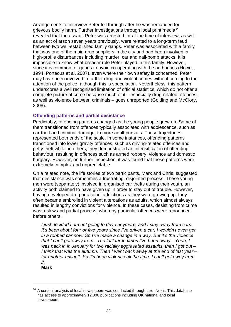Arrangements to interview Peter fell through after he was remanded for grievous bodily harm. Further investigations through local print media<sup>[64](#page-38-0)</sup> revealed that the assault Peter was arrested for at the time of interview, as well as an act of arson seven years previously, were related to a long-term feud between two well-established family gangs. Peter was associated with a family that was one of the main drug suppliers in the city and had been involved in high-profile disturbances including murder, car and nail-bomb attacks. It is impossible to know what broader role Peter played in this family. However, since it is common for gangs to avoid co-operating with the authorities (Howell, 1994; Porteous et al, 2007), even where their own safety is concerned, Pete r may have been involved in further drug and violent crimes without coming to the attention of the police, although this is speculation. Nevertheless, this pattern underscores a well recognised limitation of official statistics, which do not off er a complete picture of crime because much of it – especially drug-related offences , as well as violence between criminals – goes unreported (Golding and McClory, 2008).

## **Offending patterns and partial desistance**

them transitioned from offences typically associated with adolescence, such as burglary. However, on further inspection, it was found that these patterns were Predictably, offending patterns changed as the young people grew up. Some of car-theft and criminal damage, to more adult pursuits. These trajectories represented both ends of the scale. In some instances, offending patterns transitioned into lower gravity offences, such as driving-related offences and petty theft while, in others, they demonstrated an intensification of offending behaviour, resulting in offences such as armed robbery, violence and domestic extremely complex and unpredictable.

On a related note, the life stories of two participants, Mark and Chris, suggested activity both claimed to have given up in order to stay out of trouble. However, resulted in lengthy convictions for violence. In these cases, desisting from crime was a slow and partial process, whereby particular offences were renounced befo re others. that desistance was sometimes a frustrating, disjointed process. These young men were (separately) involved in organised car thefts during their youth, an having developed drug or alcohol addictions as they were growing up, they often became embroiled in violent altercations as adults, which almost always

for another assault. So it's been violence all the time. I can't get away from *I just decided I am not going to drive anymore, and I stay away from cars. It's been about four or five years since I've driven a car, I wouldn't even get in a robbed car now. So I've made a change in a way. But it's the violence that I can't get away from...The last three times I've been away…Yeah, I was back in in January for two racially aggravated assaults, then I got out – I think that was the autumn. Then I went back away at the end of last year – it.* 

**Mark**

<span id="page-38-0"></span> $64$  A content analysis of local newspapers was conducted through LexisNexis. This database has access to approximately 12,000 publications including UK national and local newspapers.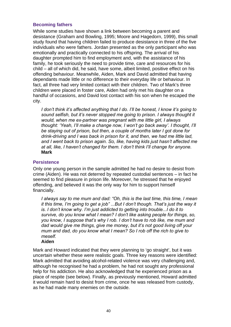## **Becoming fathers**

While some studies have shown a link between becoming a parent and desistance (Graham and Bowling, 1995; Moore and Hagedorn, 1999), this small study found that having children failed to produce desistance in three of the five individuals who were fathers. Jordan presented as the only participant who was emotionally and practically connected to his offspring. The arrival of his daughter prompted him to find employment and, with the assistance of his family, he took seriously the need to provide time, care and resources for his child – all of which did, he said, have some, albeit limited, positive effect on his offending behaviour. Meanwhile, Aiden, Mark and David admitted that having dependants made little or no difference to their everyday life or behaviour. In fact, all three had very limited contact with their children. Two of Mark's three children were placed in foster care, Aiden had only met his daughter on a handful of occasions, and David lost contact with his son when he escaped the city.

*I don't think it's affected anything that I do. I'll be honest, I know it's going to sound selfish, but it's never stopped me going to prison. I always thought it would, when me ex-partner was pregnant with me little girl, I always thought: 'Yeah, I'll make a change now, I won't go back away'. I thought, I'll be staying out of prison, but then, a couple of months later I got done for drink-driving and I was back in prison for it, and then, we had me little lad, and I went back to prison again. So, like, having kids just hasn't affected me at all, like, I haven't changed for them. I don't think I'll change for anyone.*  **Mark**

### **Persistence**

Only one young person in the sample admitted he had no desire to desist from crime (Aiden). He was not deterred by repeated custodial sentences – in fact he seemed to find pleasure in prison life. Moreover, he stressed that he enjoyed offending, and believed it was the only way for him to support himself financially.

*I always say to me mum and dad: "Oh, this is the last time, this time, I mean it this time, I'm going to get a job" ...But I don't though. That's just the way it is. I don't know why. I'm just addicted to getting into trouble...I do it to survive, do you know what I mean? I don't like asking people for things, so, you know, I suppose that's why I rob. I don't have to rob like, me mum and dad would give me things, give me money, but it's not good living off your mum and dad, do you know what I mean? So I rob off the rich to give to meself.* 

#### **Aiden**

Mark and Howard indicated that they were planning to 'go straight', but it was uncertain whether these were realistic goals. Three key reasons were identified: Mark admitted that avoiding alcohol-related violence was very challenging and, although he recognised he had a problem, he had not sought any professional help for his addiction. He also acknowledged that he experienced prison as a place of respite (see below). Finally, as previously mentioned, Howard admitted it would remain hard to desist from crime, once he was released from custody, as he had made many enemies on the outside.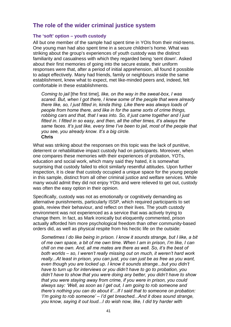# **The role of the wider criminal justice system**

## **The 'soft' option – youth custody**

All but one member of the sample had spent time in YOIs from their mid-teens. One young man had also spent time in a secure children's home. What was striking about the group's experiences of youth custody was the distinct familiarity and casualness with which they regarded being 'sent down'. Asked about their first memories of going into the secure estate, their uniform responses were that, after a period of initial apprehension, all found it possible to adapt effectively. Many had friends, family or neighbours inside the same establishment, knew what to expect, met like-minded peers and, indeed, felt comfortable in these establishments.

*Coming to jail* [the first time]*, like, on the way in the sweat-box, I was scared. But, when I got there, I knew some of the people that were already there like, so, I just fitted in, kinda thing. Like there was always loads of people from home there, and like in for the same sorts of crime things, robbing cars and that, that I was into. So, it just came together and I just fitted in. I fitted in so easy, and then, all the other times, it's always the same faces. It's just like, every time I've been to jail, most of the people that you see, you already know. It's a big circle.*  **Chris** 

What was striking about the responses on this topic was the lack of punitive, deterrent or rehabilitative impact custody had on participants. Moreover, when one compares these memories with their experiences of probation, YOTs, education and social work, which many said they hated, it is somewhat surprising that custody failed to elicit similarly resentful attitudes. Upon further inspection, it is clear that custody occupied a unique space for the young people in this sample, distinct from all other criminal justice and welfare services. While many would admit they did not enjoy YOIs and were relieved to get out, custody was often the easy option in their opinion.

Specifically, custody was not as emotionally or cognitively demanding as alternative punishments, particularly ISSP, which required participants to set goals, review their behaviour, and reflect on their lives. The youth custody environment was not experienced as a service that was actively trying to change them. In fact, as Mark ironically but eloquently commented, prison actually afforded him more psychological freedom than other community-based orders did, as well as physical respite from his hectic life on the outside:

*Sometimes I do like being in prison. I know it sounds strange, but I like, a bit of me own space, a bit of me own time. When I am in prison, I'm like, I can chill on me own. And, all me mates are there as well. So, it's the best of both worlds – so, I weren't really missing out on much, it weren't hard work really...At least in prison, you can just, you can just be as free as you want, even though you are locked up. I know it sounds strange...but you didn't have to turn up for interviews or you didn't have to go to probation, you didn't have to show that you were doing any better, you didn't have to show that you were staying away from crime, if you were in prison, you could always say: 'Well, as soon as I get out, I am going to rob someone and there's nothing you can do about it'...If I said that to someone on probation: 'I'm going to rob someone' – I'd get breached...And it does sound strange, you know, saying it out loud...I do wish now, like, I did try harder with*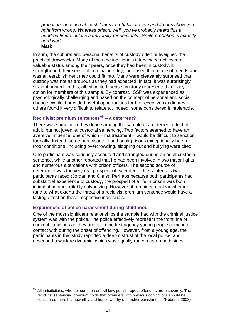*probation, because at least it tries to rehabilitate you and it does show you right from wrong. Whereas prison, well, you've probably heard this a hundred times, but it's a university for criminals...While probation is actually hard work.* 

**Mark**

1

In sum, the cultural and personal benefits of custody often outweighed the practical drawbacks. Many of the nine individuals interviewed achieved a valuable status among their peers, once they had been in custody; it strengthened their sense of criminal identity, increased their circle of friends and was an establishment they could fit into. Many were pleasantly surprised that custody was not as arduous as they had expected; in fact, it was surprisingly straightforward. In this, albeit limited, sense, custody represented an easy option for members of this sample. By contrast, ISSP was experienced as psychologically challenging and based on the concept of personal and social change. While it provided useful opportunities for the receptive candidates, others found it very difficult to relate to. Indeed, some considered it intolerable.

# **Recidivist premium sentences[65](#page-41-0) – a deterrent?**

There was some limited evidence among the sample of a deterrent effect of adult, but not juvenile, custodial sentencing. Two factors seemed to have an aversive influence, one of which – maltreatment – would be difficult to sanction formally. Indeed, some participants found adult prisons exceptionally harsh. Poor conditions, including overcrowding, slopping out and bullying were cited.

One participant was seriously assaulted and strangled during an adult custodial sentence, while another reported that he had been involved in two major fights and numerous altercations with prison officers. The second source of deterrence was the very real prospect of extended or life sentences two participants faced (Jordan and Chris). Perhaps because both participants had substantial experience of custody, the prospect of a life in prison was both intimidating and suitably galvanizing. However, it remained unclear whether (and to what extent) the threat of a recidivist premium sentence would have a lasting effect on these respective individuals.

## **Experiences of police harassment during childhood**

One of the most significant relationships the sample had with the criminal justice system was with the police. The police effectively represent the front line of criminal sanctions as they are often the first agency young people come into contact with during the onset of offending. However, from a young age, the participants in this study reported a deep distrust of the local police, and described a warfare dynamic, which was equally rancorous on both sides.

<span id="page-41-0"></span> $65$  All iurisdictions, whether common or civil law, punish repeat offenders more severely. The recidivist sentencing premium holds that offenders with previous convictions should be considered more blameworthy and hence worthy of harsher punishments (Roberts, 2008).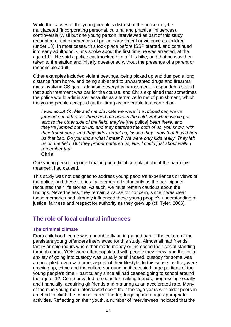While the causes of the young people's distrust of the police may be multifaceted (incorporating personal, cultural and practical influences), controversially, all but one young person interviewed as part of this study recounted direct experiences of police harassment or violence as children (under 18). In most cases, this took place before ISSP started, and continued into early adulthood. Chris spoke about the first time he was arrested, at the age of 11. He said a police car knocked him off his bike, and that he was then taken to the station and initially questioned without the presence of a parent or responsible adult.

Other examples included violent beatings, being picked up and dumped a long distance from home, and being subjected to unwarranted drugs and firearms raids involving CS gas – alongside everyday harassment. Respondents stated that such treatment was par for the course, and Chris explained that sometimes the police would administer assaults as alternative forms of punishment, which the young people accepted (at the time) as preferable to a conviction.

*I was about 14. Me and me old mate we were in a robbed car, we've jumped out of the car there and run across the field. But when we've got across the other side of the field, they've* [the police] *been there, and they've jumped out on us, and they battered the both of us, you know, with their truncheons, and they didn't arrest us, 'cause they knew that they'd hurt us that bad. Do you know what I mean? We were only kids really. They left us on the field. But they proper battered us, like, I could just about walk. I remember that.* 

One young person reported making an official complaint about the harm this treatment had caused.

This study was not designed to address young people's experiences or views of the police, and these stories have emerged voluntarily as the participants recounted their life stories. As such, we must remain cautious about the findings. Nevertheless, they remain a cause for concern, since it was clear these memories had strongly influenced these young people's understanding of justice, fairness and respect for authority as they grew up (cf. Tyler, 2006).

# **The role of local cultural influences**

#### **The criminal climate**

From childhood, crime was undoubtedly an ingrained part of the culture of the persistent young offenders interviewed for this study. Almost all had friends, family or neighbours who either made money or increased their social standing through crime. YOIs were often populated with people they knew, and the initial anxiety of going into custody was usually brief. Indeed, custody for some was an accepted, even welcome, aspect of their lifestyle. In this sense, as they were growing up, crime and the culture surrounding it occupied large portions of the young people's time – particularly since all had ceased going to school around the age of 12. Crime provided a means for making friends, progressing socially and financially, acquiring girlfriends and maturing at an accelerated rate. Many of the nine young men interviewed spent their teenage years with older peers in an effort to climb the criminal career ladder, forgoing more age-appropriate activities. Reflecting on their youth, a number of interviewees indicated that the

**Chris**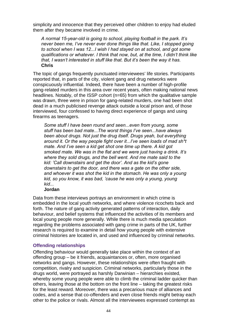simplicity and innocence that they perceived other children to enjoy had eluded them after they became involved in crime.

*A normal 15-year-old is going to school, playing football in the park. It's never been me, I've never ever done things like that. Like, I stopped going to school when I was 12...I wish I had stayed on at school, and got some qualifications or whatever. I think that now, but, at the time, I didn't think like that, I wasn't interested in stuff like that. But it's been the way it has.*  **Chris**

The topic of gangs frequently punctuated interviewees' life stories. Participants reported that, in parts of the city, violent gang and drug networks were conspicuously influential. Indeed, there have been a number of high-profile gang-related murders in this area over recent years, often making national news headlines. Notably, of the ISSP cohort (n=65) from which the qualitative sample was drawn, three were in prison for gang-related murders, one had been shot dead in a much publicised revenge attack outside a local prison and, of those interviewed, four confessed to having direct experience of gangs and using firearms as teenagers.

*Some stuff I have been round and seen...even from young, some stuff has been bad mate...The worst things I've seen...have always been about drugs. Not just the drug itself. Drugs yeah, but everything around it. Or the way people fight over it...I've seen loads of mad sh\*t mate. And I've seen a kid get shot one time up there. A kid got smoked mate. We was in the flat and we were just having a drink. It's where they sold drugs, and the bell went. And me mate said to the kid: 'Call downstairs and get the door'. And as the kid's gone downstairs to get the door, and there was a gate on the other side,*  and whoever it was shot the kid in the stomach. He was only a young *kid, so you know, it was bad, 'cause he was only a young, young kid...* 

## **Jordan**

Data from these interviews portrays an environment in which crime is embedded in the local youth networks, and where violence ricochets back and forth. The nature of gang activity generated patterns of interaction, daily behaviour, and belief systems that influenced the activities of its members and local young people more generally. While there is much media speculation regarding the problems associated with gang crime in parts of the UK, further research is required to examine in detail how young people with extensive criminal histories are located in, and used and influenced by criminal networks.

## **Offending relationships**

Offending behaviour would generally take place within the context of an offending group – be it friends, acquaintances or, often, more organised networks and gangs. However, these relationships were often fraught with competition, rivalry and suspicion. Criminal networks, particularly those in the drugs world, were portrayed as harshly Darwinian – hierarchies existed, whereby some young people were able to climb the criminal ladder quicker than others, leaving those at the bottom on the front line – taking the greatest risks for the least reward. Moreover, there was a precarious maze of alliances and codes, and a sense that co-offenders and even close friends might betray each other to the police or rivals. Almost all the interviewees expressed contempt as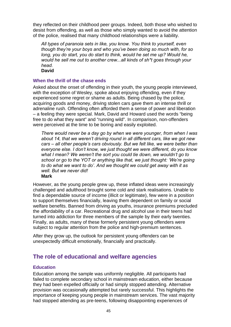they reflected on their childhood peer groups. Indeed, both those who wished to desist from offending, as well as those who simply wanted to avoid the attention of the police, realised that many childhood relationships were a liability.

*All types of paranoia sets in like, you know. You think to yourself, even though they're your boys and who you've been doing so much with, for so*  long, you do start, you do start to think, would he set me up? Would he, *would he sell me out to another crew...all kinds of sh\*t goes through your head.* 

**David** 

#### **When the thrill of the chase ends**

Asked about the onset of offending in their youth, the young people interviewed, with the exception of Wesley, spoke about enjoying offending, even if they experienced some regret or shame as adults. Being chased by the police, acquiring goods and money, driving stolen cars gave them an intense thrill or adrenaline rush. Offending often afforded them a sense of power and liberation – a feeling they were special. Mark, David and Howard used the words "being free to do what they want" and "running wild". In comparison, non-offenders were perceived at the time to be boring and easily exploited.

*There would never be a day go by when we were younger, from when I was about 14, that we weren't driving round in all different cars, like we got new cars – all other people's cars obviously. But we felt like, we were better than everyone else. I don't know, we just thought we were different, do you know what I mean? We weren't the sort you could tie down, we wouldn't go to school or go to the YOT or anything like that, we just thought: 'We're going to do what we want to do'. And we thought we could get away with it as well. But we never did!* 

**Mark** 

However, as the young people grew up, these inflated ideas were increasingly challenged and adulthood brought some cold and stark realisations. Unable to find a dependable source of income (illicit or legitimate), few were in a position to support themselves financially, leaving them dependent on family or social welfare benefits. Banned from driving as youths, insurance premiums precluded the affordability of a car. Recreational drug and alcohol use in their teens had turned into addiction for three members of the sample by their early twenties. Finally, as adults, many of these formerly persistent young offenders were subject to regular attention from the police and high-premium sentences.

After they grow up, the outlook for persistent young offenders can be unexpectedly difficult emotionally, financially and practically.

# **The role of educational and welfare agencies**

#### **Education**

Education among the sample was uniformly negligible. All participants had failed to complete secondary school in mainstream education, either because they had been expelled officially or had simply stopped attending. Alternative provision was occasionally attempted but rarely successful. This highlights the importance of keeping young people in mainstream services. The vast majority had stopped attending as pre-teens, following disappointing experiences of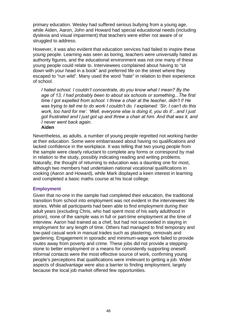primary education. Wesley had suffered serious bullying from a young age, while Aiden, Aaron, John and Howard had special educational needs (including dyslexia and visual impairment) that teachers were either not aware of or struggled to address.

However, it was also evident that education services had failed to inspire these young people. Learning was seen as boring, teachers were universally hated as authority figures, and the educational environment was not one many of these young people could relate to. Interviewees complained about having to "sit down with your head in a book" and preferred life on the street where they escaped to "run wild". Many used the word "hate" in relation to their experience of school.

*I hated school. I couldn't concentrate, do you know what I mean? By the age of 13, I had probably been to about six schools or something...The first time I got expelled from school. I threw a chair at the teacher, didn't I! He was trying to tell me to do work I couldn't do. I explained: 'Sir, I can't do this work, too hard for me'. 'Well, everyone else is doing it, you do it'...and I just got frustrated and I just got up and threw a chair at him. And that was it, and I never went back again.* 

#### **Aiden**

Nevertheless, as adults, a number of young people regretted not working harder at their education. Some were embarrassed about having no qualifications and lacked confidence in the workplace. It was telling that two young people from the sample were clearly reluctant to complete any forms or correspond by mail in relation to the study, possibly indicating reading and writing problems. Naturally, the thought of returning to education was a daunting one for most, although two members had undertaken national vocational qualifications in cooking (Aaron and Howard), while Mark displayed a keen interest in learning and completed a basic maths course at his local college.

#### **Employment**

Given that no-one in the sample had completed their education, the traditional transition from school into employment was not evident in the interviewees' life stories. While all participants had been able to find employment during their adult years (excluding Chris, who had spent most of his early adulthood in prison), none of the sample was in full or part-time employment at the time of interview. Aaron had trained as a chef, but had not succeeded in staying in employment for any length of time. Others had managed to find temporary and low-paid casual work in manual trades such as plastering, removals and gardening. Engagement in sporadic and minimum-wage work failed to provide routes away from poverty and crime. These jobs did not provide a steppingstone to better employment or a means for consistently supporting oneself. Informal contacts were the most effective source of work, confirming young people's perceptions that qualifications were irrelevant to getting a job. Wider aspects of disadvantage were also a barrier to finding employment, largely because the local job market offered few opportunities.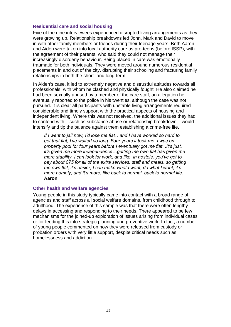#### **Residential care and social housing**

Five of the nine interviewees experienced disrupted living arrangements as they were growing up. Relationship breakdowns led John, Mark and David to move in with other family members or friends during their teenage years. Both Aaron and Aiden were taken into local authority care as pre-teens (before ISSP), with the agreement of their parents, who said they could not manage their increasingly disorderly behaviour. Being placed in care was emotionally traumatic for both individuals. They were moved around numerous residential placements in and out of the city, disrupting their schooling and fracturing family relationships in both the short- and long-term.

In Aiden's case, it led to extremely negative and distrustful attitudes towards all professionals, with whom he clashed and physically fought. He also claimed he had been sexually abused by a member of the care staff, an allegation he eventually reported to the police in his twenties, although the case was not pursued. It is clear all participants with unstable living arrangements required considerable and timely support with the practical aspects of housing and independent living. Where this was not received, the additional issues they had to contend with – such as substance abuse or relationship breakdown – would intensify and tip the balance against them establishing a crime-free life.

*If I went to jail now, I'd lose me flat…and I have worked so hard to get that flat, I've waited so long. Four years it took me. I was on property pool for four years before I eventually got me flat...It's just, it's given me more independence…getting me own flat has given me more stability, I can look for work, and like, in hostels, you've got to pay about £75 for all of the extra services, staff and meals, so getting me own flat, it's easier, I can make what I want, do what I want, it's more homely, and it's more, like back to normal, back to normal life*. **Aaron** 

#### **Other health and welfare agencies**

Young people in this study typically came into contact with a broad range of agencies and staff across all social welfare domains, from childhood through to adulthood. The experience of this sample was that there were often lengthy delays in accessing and responding to their needs. There appeared to be few mechanisms for the joined-up exploration of issues arising from individual cases or for feeding this into strategic planning and preventive work. In fact, a number of young people commented on how they were released from custody or probation orders with very little support, despite critical needs such as homelessness and addiction.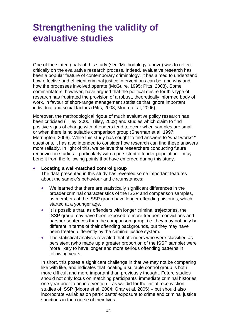# **Strengthening the validity of evaluative studies**

One of the stated goals of this study (see 'Methodology' above) was to reflect critically on the evaluative research process. Indeed, evaluative research has been a popular feature of contemporary criminology. It has aimed to understand how effective and efficient criminal justice interventions can be, and why and how the processes involved operate (McGuire, 1995; Pitts, 2003). Some commentators, however, have argued that the political desire for this type of research has frustrated the provision of a robust, theoretically informed body of work, in favour of short-range management statistics that ignore important individual and social factors (Pitts, 2003; Moore et al, 2006).

Moreover, the methodological rigour of much evaluative policy research has been criticised (Tilley, 2000; Tilley, 2002) and studies which claim to find positive signs of change with offenders tend to occur when samples are small, or when there is no suitable comparison group (Sherman et al, 1997; Merrington, 2006). While this study has sought to find answers to 'what works?' questions, it has also intended to consider how research can find these answers more reliably. In light of this, we believe that researchers conducting future reconviction studies – particularly with a persistent offender population – may benefit from the following points that have emerged during this study.

#### **Locating a well-matched control group**

The data presented in this study has revealed some important features about the sample's behaviour and circumstances:

- We learned that there are statistically significant differences in the broader criminal characteristics of the ISSP and comparison samples, as members of the ISSP group have longer offending histories, which started at a younger age.
- It is possible that, as offenders with longer criminal trajectories, the ISSP group may have been exposed to more frequent convictions and harsher sentences than the comparison group, i.e. they may not only be different in terms of their offending backgrounds, but they may have been treated differently by the criminal justice system.
- The statistical analysis revealed that offenders who were classified as persistent (who made up a greater proportion of the ISSP sample) were more likely to have longer and more serious offending patterns in following years.

 In short, this poses a significant challenge in that we may not be comparing like with like, and indicates that locating a suitable control group is both more difficult and more important than previously thought. Future studies should not only focus on matching participants' immediate criminal histories one year prior to an intervention – as we did for the initial reconviction studies of ISSP (Moore et al, 2004; Gray et al, 2005) – but should also incorporate variables on participants' exposure to crime and criminal justice sanctions in the course of their lives.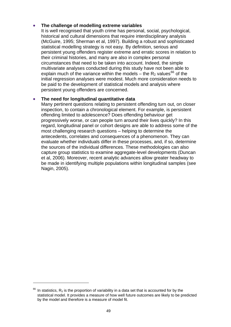## **The challenge of modelling extreme variables**

It is well recognised that youth crime has personal, social, psychological, historical and cultural dimensions that require interdisciplinary analysis (McGuire, 1995; Sherman et al, 1997). Building a robust and sophisticated statistical modelling strategy is not easy. By definition, serious and persistent young offenders register extreme and erratic scores in relation to their criminal histories, and many are also in complex personal circumstances that need to be taken into account. Indeed, the simple multivariate analyses conducted during this study have not been able to explain much of the variance within the models – the  $R_2$  values<sup>[66](#page-48-0)</sup> of the initial regression analyses were modest. Much more consideration needs to be paid to the development of statistical models and analysis where persistent young offenders are concerned.

## **The need for longitudinal quantitative data**

Many pertinent questions relating to persistent offending turn out, on closer inspection, to contain a chronological element. For example, is persistent offending limited to adolescence? Does offending behaviour get progressively worse, or can people turn around their lives quickly? In this regard, longitudinal panel or cohort designs are able to address some of the most challenging research questions – helping to determine the antecedents, correlates and consequences of a phenomenon. They can evaluate whether individuals differ in these processes, and, if so, determine the sources of the individual differences. These methodologies can also capture group statistics to examine aggregate-level developments (Duncan et al, 2006). Moreover, recent analytic advances allow greater headway to be made in identifying multiple populations within longitudinal samples (see Nagin, 2005).

<span id="page-48-0"></span> $66$  In [statistics,](http://en.wikipedia.org/wiki/Statistics)  $R_2$  is the proportion of variability in a data set that is accounted for by the statistical model. It provides a measure of how well future outcomes are likely to be predicted by the model and therefore is a measure of model fit.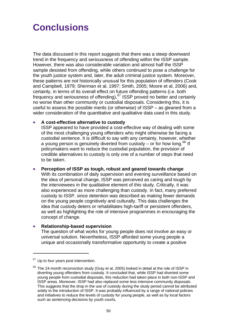# **Conclusions**

The data discussed in this report suggests that there was a steep downward trend in the frequency and seriousness of offending within the ISSP sample. However, there was also considerable variation and almost half the ISSP sample desisted from offending, while others continued to pose a challenge for the youth justice system and, later, the adult criminal justice system. Moreover, these patterns are not historically unusual for this population of offenders (Cook and Campbell, 1979; Sherman et al, 1997; Smith, 2005; Moore et al, 2006) and, certainly, in terms of its overall effect on future offending patterns (i.e. both frequency and seriousness of offending),  $67$  ISSP proved no better and certainly no worse than other community or custodial disposals. Considering this, it is useful to assess the possible merits (or otherwise) of ISSP – as gleaned from a wider consideration of the quantitative and qualitative data used in this study.

#### **A cost-effective alternative to custody**

ISSP appeared to have provided a cost-effective way of dealing with some of the most challenging young offenders who might otherwise be facing a custodial sentence. It is difficult to say with any certainty, however, whether a young person is genuinely diverted from custody  $-$  or for how long.<sup>[68](#page-49-1)</sup> If policymakers want to reduce the custodial population, the provision of credible alternatives to custody is only one of a number of steps that need to be taken.

 **Perception of ISSP as tough, robust and geared towards change** With its combination of daily supervision and evening surveillance based on the idea of personal change, ISSP was perceived as caring and tough by the interviewees in the qualitative element of this study. Critically, it was also experienced as more challenging than custody. In fact, many preferred custody to ISSP, since detention was described as making fewer demands on the young people cognitively and culturally. This data challenges the idea that custody deters or rehabilitates high-tariff or persistent offenders, as well as highlighting the role of intensive programmes in encouraging the concept of change.

#### **Relationship-based supervision**

The question of what works for young people does not involve an easy or universal solution. Nevertheless, ISSP afforded some young people a unique and occasionally transformative opportunity to create a positive

<span id="page-49-0"></span> $67$  Up to four years post intervention.

<span id="page-49-1"></span> $68$  The 24-month reconviction study (Gray et al, 2005) looked in detail at the role of ISSP in diverting young offenders from custody. It concluded that, while ISSP had diverted some young people from custodial disposals, this reduction had taken place in both non-ISSP and ISSP areas. Moreover, ISSP had also replaced some less intensive community disposals. This suggests that the drop in the use of custody during the study period cannot be attributed solely to the introduction of ISSP. It was probably influenced by a range of national policies and initiatives to reduce the levels of custody for young people, as well as by local factors such as sentencing decisions by youth courts.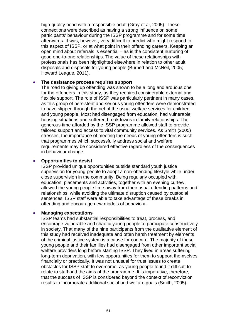high-quality bond with a responsible adult (Gray et al, 2005). These connections were described as having a strong influence on some participants' behaviour during the ISSP programme and for some time afterwards. It was, however, very difficult to predict who might respond to this aspect of ISSP, or at what point in their offending careers. Keeping an open mind about referrals is essential – as is the consistent nurturing of good one-to-one relationships. The value of these relationships with professionals has been highlighted elsewhere in relation to other adult disposals and disposals for young people (Burnett and McNeil, 2005; Howard League, 2011).

#### **The desistance process requires support**

The road to giving up offending was shown to be a long and arduous one for the offenders in this study, as they required considerable external and flexible support. The role of ISSP was particularly pertinent in many cases, as this group of persistent and serious young offenders were demonstrated to have slipped through the net of the usual welfare services for children and young people. Most had disengaged from education, had vulnerable housing situations and suffered breakdowns in family relationships. The generous time afforded by the ISSP programme allowed staff to provide tailored support and access to vital community services. As Smith (2005) stresses, the importance of meeting the needs of young offenders is such that programmes which successfully address social and welfare requirements may be considered effective regardless of the consequences in behaviour change.

#### **Opportunities to desist**

ISSP provided unique opportunities outside standard youth justice supervision for young people to adopt a non-offending lifestyle while under close supervision in the community. Being regularly occupied with education, placements and activities, together with an evening curfew, allowed the young people time away from their usual offending patterns and relationships, while avoiding the ultimate disruption caused by custodial sentences. ISSP staff were able to take advantage of these breaks in offending and encourage new models of behaviour.

#### **Managing expectations**

ISSP teams had substantial responsibilities to treat, process, and encourage vulnerable and chaotic young people to participate constructively in society. That many of the nine participants from the qualitative element of this study had received inadequate and often harsh treatment by elements of the criminal justice system is a cause for concern. The majority of these young people and their families had disengaged from other important social welfare providers long before starting ISSP. They lived in areas suffering long-term deprivation, with few opportunities for them to support themselves financially or practically. It was not unusual for trust issues to create obstacles for ISSP staff to overcome, as young people found it difficult to relate to staff and the aims of the programme. It is imperative, therefore, that the success of ISSP is considered beyond the context of reconviction results to incorporate additional social and welfare goals (Smith, 2005).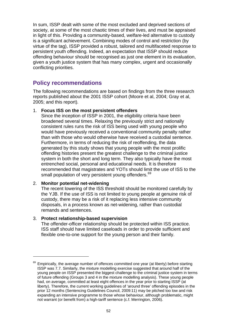In sum, ISSP dealt with some of the most excluded and deprived sections of society, at some of the most chaotic times of their lives, and must be appraised in light of this. Providing a community-based, welfare-led alternative to custody is a significant achievement. Combining modes of control and restriction (by virtue of the tag), ISSP provided a robust, tailored and multifaceted response to persistent youth offending. Indeed, an expectation that ISSP should reduce offending behaviour should be recognised as just one element in its evaluation, given a youth justice system that has many complex, urgent and occasionally conflicting priorities.

# **Policy recommendations**

The following recommendations are based on findings from the three research reports published about the 2001 ISSP cohort (Moore et al, 2004; Gray et al, 2005; and this report)*.* 

### 1. **Focus ISS on the most persistent offenders**

Since the inception of ISSP in 2001, the eligibility criteria have been broadened several times. Relaxing the previously strict and nationally consistent rules runs the risk of ISS being used with young people who would have previously received a conventional community penalty rather than with those who would otherwise have received a custodial sentence. Furthermore, in terms of reducing the risk of reoffending, the data generated by this study shows that young people with the most prolific offending histories present the greatest challenge to the criminal justice system in both the short and long term. They also typically have the most entrenched social, personal and educational needs. It is therefore recommended that magistrates and YOTs should limit the use of ISS to the small population of very persistent young offenders.<sup>[69](#page-51-0)</sup>

#### 2. **Monitor potential net-widening**

1

The recent lowering of the ISS threshold should be monitored carefully by the YJB. If the use of ISS is not limited to young people at genuine risk of custody, there may be a risk of it replacing less intensive community disposals, in a process known as net-widening, rather than custodial remands and sentences.

#### 3. **Protect relationship-based supervision**

The offender-officer relationship should be protected within ISS practice. ISS staff should have limited caseloads in order to provide sufficient and flexible one-to-one support for the young person and their family.

<span id="page-51-0"></span>Empirically, the average number of offences committed one year (at liberty) before starting ISSP was 7.7. Similarly, the mixture modelling exercise suggested that around half of the young people on ISSP presented the biggest challenge to the criminal justice system in terms of future offending (Groups 3 and 4 in the mixture modelling analysis). These young people had, on average, committed at least eight offences in the year prior to starting ISSP (at liberty). Therefore, the current working guidelines of 'around three' offending episodes in the prior 12 months (Sentencing Guidelines Council, 2009:11) may be pitched too low and risk expanding an intensive programme to those whose behaviour, although problematic, might not warrant (or benefit from) a high-tariff sentence (c.f. Merrington, 2006).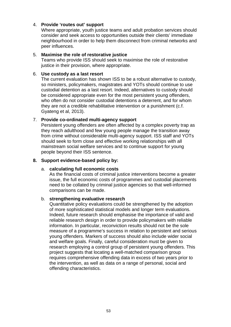### 4. **Provide 'routes out' support**

Where appropriate, youth justice teams and adult probation services should consider and seek access to opportunities outside their clients' immediate neighbourhood in order to help them disconnect from criminal networks and peer influences.

#### 5. **Maximise the role of restorative justice**

Teams who provide ISS should seek to maximise the role of restorative justice in their provision, where appropriate.

#### 6. **Use custody as a last resort**

The current evaluation has shown ISS to be a robust alternative to custody, so ministers, policymakers, magistrates and YOTs should continue to use custodial detention as a last resort. Indeed, alternatives to custody should be considered appropriate even for the most persistent young offenders, who often do not consider custodial detentions a deterrent, and for whom they are not a credible rehabilitative intervention or a punishment (c.f. Gyateng et al, 2013).

#### 7. **Provide co-ordinated multi-agency support**

Persistent young offenders are often affected by a complex poverty trap as they reach adulthood and few young people manage the transition away from crime without considerable multi-agency support. ISS staff and YOTs should seek to form close and effective working relationships with all mainstream social welfare services and to continue support for young people beyond their ISS sentence.

#### **8. Support evidence-based policy by:**

#### a. **calculating full economic costs**

As the financial costs of criminal justice interventions become a greater issue, the full economic costs of programmes and custodial placements need to be collated by criminal justice agencies so that well-informed comparisons can be made.

#### b. **strengthening evaluative research**

Quantitative policy evaluations could be strengthened by the adoption of more sophisticated statistical models and longer term evaluations. Indeed, future research should emphasise the importance of valid and reliable research design in order to provide policymakers with reliable information. In particular, reconviction results should not be the sole measure of a programme's success in relation to persistent and serious young offenders. Markers of success should also include wider social and welfare goals. Finally, careful consideration must be given to research employing a control group of persistent young offenders. This project suggests that locating a well-matched comparison group requires comprehensive offending data in excess of two years prior to the intervention, as well as data on a range of personal, social and offending characteristics.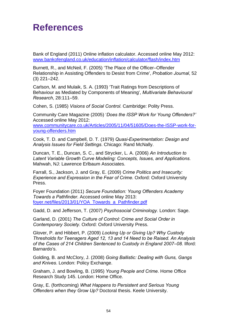# **References**

Bank of England (2011) Online inflation calculator. Accessed online May 2012: [www.bankofengland.co.uk/education/inflation/calculator/flash/index.htm](http://www.bankofengland.co.uk/education/inflation/calculator/flash/index.htm) 

Burnett, R., and McNeil, F. (2005) 'The Place of the Officer–Offender Relationship in Assisting Offenders to Desist from Crime', *Probation Journal*, 52 (3) 221–242.

Carlson, M. and Mulaik, S. A. (1993) 'Trait Ratings from Descriptions of Behaviour as Mediated by Components of Meaning', *Multivariate Behavioural Research*, 28:111–59.

Cohen, S. (1985) *Visions of Social Control.* Cambridge: Polity Press.

Community Care Magazine (2005) '*Does the ISSP Work for Young Offenders?'* Accessed online May 2012: [www.communitycare.co.uk/Articles/2005/11/04/51605/Does-the-ISSP-work-for](http://www.communitycare.co.uk/Articles/2005/11/04/51605/Does-the-ISSP-work-for-young-offenders.htm)[young-offenders.htm](http://www.communitycare.co.uk/Articles/2005/11/04/51605/Does-the-ISSP-work-for-young-offenders.htm)

Cook, T. D. and Campbell, D. T. (1979) *Quasi-Experimentation: Design and Analysis Issues for Field Settings*. Chicago: Rand McNally.

Duncan, T. E., Duncan, S. C., and Strycker, L. A. (2006) *An Introduction to Latent Variable Growth Curve Modeling: Concepts, Issues, and Applications.*  Mahwah, NJ: Lawrence Erlbaum Associates.

Farrall, S., Jackson, J. and Gray, E. (2009) *Crime Politics and Insecurity: Experience and Expression in the Fear of Crime.* Oxford: Oxford University Press.

Foyer Foundation (2011) *Secure Foundation: Young Offenders Academy Towards a Pathfinder*. Accessed online May 2013: [foyer.net/files/2013/01/YOA\\_Towards\\_a\\_Pathfinder.pdf](http://foyer.net/files/2013/01/YOA_Towards_a_Pathfinder.pdf)

Gadd, D. and Jefferson, T. (2007) *Psychosocial Criminology.* London: Sage.

Garland, D. (2001) *The Culture of Control: Crime and Social Order in Contemporary Society*. Oxford: Oxford University Press.

Glover, P. and Hibbert, P. (2009) *Locking Up or Giving Up? Why Custody Thresholds for Teenagers Aged 12, 13 and 14 Need to be Raised. An Analysis*  of the Cases of 214 Children Sentenced to Custody in England 2007–08. Ilford: Barnardo's.

Golding, B. and McClory, J. (2008) *Going Ballistic: Dealing with Guns, Gangs and Knives*. London: Policy Exchange.

Graham, J. and Bowling, B. (1995) *Young People and Crime*. Home Office Research Study 145. London: Home Office.

Gray, E. (forthcoming) *What Happens to Persistent and Serious Young Offenders when they Grow Up?* Doctoral thesis. Keele University.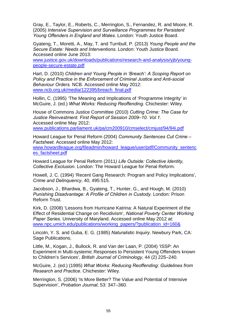Gray, E., Taylor, E., Roberts, C., Merrington, S., Fernandez, R. and Moore, R. (2005) *Intensive Supervision and Surveillance Programmes for Persistent Young Offenders in England and Wales*. London: Youth Justice Board.

Gyateng, T., Moretti, A., May, T. and Turnbull, P. (2013) *Young People and the Secure Estate: Needs and Interventions*. London: Youth Justice Board. Accessed online June 2013:

[www.justice.gov.uk/downloads/publications/research-and-analysis/yjb/young](http://www.justice.gov.uk/downloads/publications/research-and-analysis/yjb/young-people-secure-estate.pdf)[people-secure-estate.pdf](http://www.justice.gov.uk/downloads/publications/research-and-analysis/yjb/young-people-secure-estate.pdf)

Hart, D. (2010) *Children and Young People in 'Breach': A Scoping Report on Policy and Practice in the Enforcement of Criminal Justice and Anti-social Behaviour Orders.* NCB. Accessed online May 2012: [www.ncb.org.uk/media/122395/breach\\_final.pdf](http://www.ncb.org.uk/media/122395/breach_final.pdf) 

Hollin, C. (1995) 'The Meaning and Implications of 'Programme Integrity' in McGuire, J. (ed.) *What Works: Reducing Reoffending*. Chichester: Wiley.

House of Commons Justice Committee (2010) *Cutting Crime: The Case for Justice Reinvestment. First Report of Session 2009–10. Vol 1.*  Accessed online May 2012: [www.publications.parliament.uk/pa/cm200910/cmselect/cmjust/94/94i.pdf](http://www.publications.parliament.uk/pa/cm200910/cmselect/cmjust/94/94i.pdf) 

Howard League for Penal Reform (2004) *Community Sentences Cut Crime – Factsheet*. Accessed online May 2012: www.howardleague.org/fileadmin/howard league/user/pdf/Community sentenc [es\\_factsheet.pdf](http://www.howardleague.org/fileadmin/howard_league/user/pdf/Community_sentences_factsheet.pdf)

Howard League for Penal Reform (2011*) Life Outside: Collective Identity, Collective Exclusion*. London: The Howard League for Penal Reform.

Howell, J. C. (1994) 'Recent Gang Research: Program and Policy Implications', *Crime and Delinquency*, 40, 495:515.

Jacobson, J., Bhardwa, B., Gyateng, T., Hunter, G., and Hough, M. (2010) **Punishing Disadvantage: A Profile of Children in Custody. London: Prison** Reform Trust.

Kirk, D. (2008) 'Lessons from Hurricane Katrina: A Natural Experiment of the Effect of Residential Change on Recidivism', *National Poverty Center Working Paper Series*. University of Maryland. Accessed online May 2012 at: [www.npc.umich.edu/publications/working\\_papers/?publication\\_id=160&](http://www.npc.umich.edu/publications/working_papers/?publication_id=160&)

Lincoln, Y. S. and Guba, E. G. (1985) *Naturalistic Inquiry*. Newbury Park, CA: Sage Publications.

Little, M., Kogan, J., Bullock, R. and Van der Laan, P. (2004) 'ISSP: An Experiment in Multi-systemic Responses to Persistent Young Offenders known to Children's Services', *British Journal of Criminology*, 44 (2) 225–240.

McGuire, J. (ed.) (1995) *What Works: Reducing Reoffending: Guidelines from Research and Practice*. Chichester: Wiley.

Merrington, S. (2006) 'Is More Better? The Value and Potential of Intensive Supervision', *Probation Journal*, 53: 347–360.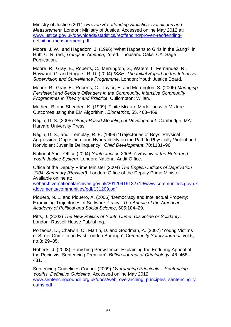Ministry of Justice (2011) *Proven Re-offending Statistics. Definitions and Measurement.* London: Ministry of Justice. Accessed online May 2012 at: [www.justice.gov.uk/downloads/statistics/reoffending/proven-reoffending](http://www.justice.gov.uk/downloads/statistics/reoffending/proven-reoffending-definition-measurement.pdf)[definition-measurement.pdf](http://www.justice.gov.uk/downloads/statistics/reoffending/proven-reoffending-definition-measurement.pdf)

Moore, J. W., and Hagedorn, J. (1996) 'What Happens to Girls in the Gang?' in Huff, C. R. (ed.) *Gangs in America*, 2d ed. Thousand Oaks, CA: Sage Publication.

Moore, R., Gray, E., Roberts, C., Merrington, S., Waters, I., Fernandez, R., Hayward, G. and Rogers, R. D. (2004) *ISSP: The Initial Report on the Intensive Supervision and Surveillance Programme*. London: Youth Justice Board.

Moore, R., Gray, E., Roberts, C., Taylor, E. and Merrington, S. (2006) *Managing Persistent and Serious Offenders in the Community: Intensive Community Programmes in Theory and Practice*. Cullompton: Willan.

Muthen, B. and Shedden, K. (1999) 'Finite Mixture Modelling with Mixture Outcomes using the EM Algorithm', *Biometrics*, 55, 463–469.

Nagin, D. S. (2005) *Group-Based Modeling of Development.* Cambridge, MA: Harvard University Press.

Nagin, D. S., and Tremblay, R. E. (1999) 'Trajectories of Boys' Physical Aggression, Opposition, and Hyperactivity on the Path to Physically Violent and Nonviolent Juvenile Delinquency', *Child Development*, 70:1181–96.

National Audit Office (2004) *Youth Justice 2004: A Review of the Reformed Youth Justice System.* London: National Audit Office.

Office of the Deputy Prime Minister (2004) *The English Indices of Deprivation 2004: Summary (Revised).* London: Office of the Deputy Prime Minister. Available online at:

[webarchive.nationalarchives.gov.uk/20120919132719/www.communities.gov.uk](http://webarchive.nationalarchives.gov.uk/20120919132719/www.communities.gov.uk/documents/communities/pdf/131209.pdf) [/documents/communities/pdf/131209.pdf](http://webarchive.nationalarchives.gov.uk/20120919132719/www.communities.gov.uk/documents/communities/pdf/131209.pdf)

Piquero, N. L. and Piquero, A. (2006) 'Democracy and Intellectual Property: Examining Trajectories of Software Piracy', *The Annals of the American Academy of Political and Social Science*, 605:104–29.

Pitts, J. (2003) *The New Politics of Youth Crime: Discipline or Solidarity*. London: Russell House Publishing.

Porteous, D., Chatwin, C., Martin, D. and Goodman, A. (2007) 'Young Victims of Street Crime in an East London Borough', *Community Safety Journal*, vol.6, no.3: 29–35.

Roberts, J. (2008) 'Punishing Persistence: Explaining the Enduring Appeal of the Recidivist Sentencing Premium', *British Journal of Criminology*, 48: 468– 481.

Sentencing Guidelines Council (2009) *Overarching Principals – Sentencing Youths. Definitive Guideline*. Accessed online May 2012: www.sentencingcouncil.org.uk/docs/web\_overarching\_principles\_sentencing\_v [ouths.pdf](http://www.sentencingcouncil.org.uk/docs/web_overarching_principles_sentencing_youths.pdf)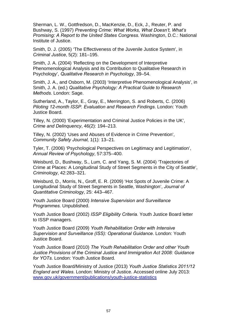Sherman, L. W., Gottfredson, D., MacKenzie, D., Eck, J., Reuter, P. and Bushway, S. (1997) *Preventing Crime: What Works, What Doesn't, What's Promising: A Report to the United States Congress*. Washington, D.C.: National Institute of Justice.

Smith, D. J. (2005) 'The Effectiveness of the Juvenile Justice System', in *Criminal Justice*, 5(2): 181–195.

Smith, J. A. (2004) 'Reflecting on the Development of Interpretive Phenomenological Analysis and its Contribution to Qualitative Research in Psychology', *Qualitative Research in Psychology*, 39–54.

Smith, J. A., and Osborn, M. (2003) 'Interpretive Phenomenological Analysis', in Smith, J. A. (ed.) *Qualitative Psychology: A Practical Guide to Research Methods*. London: Sage.

Sutherland, A., Taylor, E., Gray, E., Merrington, S. and Roberts, C. (2006) *Piloting 12-month ISSP. Evaluation and Research Findings*. London: Youth Justice Board.

Tilley, N. (2000) 'Experimentation and Criminal Justice Policies in the UK', *Crime and Delinquency*, 46(2): 194–213.

Tilley, N. (2002) 'Uses and Abuses of Evidence in Crime Prevention', *Community Safety Journal,* 1(1): 13–21.

Tyler, T. (2006) 'Psychological Perspectives on Legitimacy and Legitimation', *Annual Review of Psychology*, 57:375–400.

Weisburd, D., Bushway, S., Lum, C. and Yang, S. M. (2004) 'Trajectories of Crime at Places: A Longitudinal Study of Street Segments in the City of Seattle', *Criminology*, 42:283–321.

Weisburd, D., Morris, N., Groff, E. R. (2009) 'Hot Spots of Juvenile Crime: A Longitudinal Study of Street Segments in Seattle, Washington', *Journal of Quantitative Criminology*, 25: 443–467.

Youth Justice Board (2000) *Intensive Supervision and Surveillance Programmes.* Unpublished.

Youth Justice Board (2002) *ISSP Eligibility Criteria.* Youth Justice Board letter to ISSP managers.

Youth Justice Board (2009) *Youth Rehabilitation Order with Intensive Supervision and Surveillance (ISS): Operational Guidance*. London: Youth Justice Board.

Youth Justice Board (2010) *The Youth Rehabilitation Order and other Youth Justice Provisions of the Criminal Justice and Immigration Act 2008: Guidance for YOTs*. London: Youth Justice Board.

Youth Justice Board/Ministry of Justice (2013) *Youth Justice Statistics 2011/12 England and Wales*. London: Ministry of Justice. Accessed online July 2013: [www.gov.uk/government/publications/youth-justice-statistics](https://www.gov.uk/government/publications/youth-justice-statistics)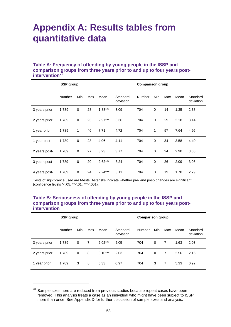# **Appendix A: Results tables from quantitative data**

#### **Table A: Frequency of offending by young people in the ISSP and comparison groups from three years prior to and up to four years postintervention[70](#page-57-0)**

|               | <b>ISSP</b> group |     |     |           | <b>Comparison group</b> |        |     |     |      |                       |
|---------------|-------------------|-----|-----|-----------|-------------------------|--------|-----|-----|------|-----------------------|
|               | <b>Number</b>     | Min | Max | Mean      | Standard<br>deviation   | Number | Min | Max | Mean | Standard<br>deviation |
| 3 years prior | 1,789             | 0   | 28  | $1.88***$ | 3.09                    | 704    | 0   | 14  | 1.35 | 2.38                  |
| 2 years prior | 1,789             | 0   | 25  | $2.97***$ | 3.36                    | 704    | 0   | 29  | 2.18 | 3.14                  |
| 1 year prior  | 1,789             | 1   | 46  | 7.71      | 4.72                    | 704    | 1   | 57  | 7.64 | 4.95                  |
| 1 year post-  | 1,789             | 0   | 28  | 4.06      | 4.11                    | 704    | 0   | 34  | 3.58 | 4.40                  |
| 2 years post- | 1,789             | 0   | 27  | 3.23      | 3.77                    | 704    | 0   | 24  | 2.90 | 3.63                  |
| 3 years post- | 1,789             | 0   | 20  | $2.62***$ | 3.24                    | 704    | 0   | 26  | 2.09 | 3.05                  |
| 4 years post- | 1,789             | 0   | 24  | $2.24***$ | 3.11                    | 704    | 0   | 19  | 1.78 | 2.79                  |

Tests of significance used are t-tests. Asterisks indicate whether pre- and post- changes are significant (confidence levels \*<.05, \*\*<.01, \*\*\*<.001).

#### **Table B: Seriousness of offending by young people in the ISSP and comparison groups from three years prior to and up to four years postintervention**

|               | <b>ISSP</b> group |     |     |           | <b>Comparison group</b> |        |          |     |      |                       |
|---------------|-------------------|-----|-----|-----------|-------------------------|--------|----------|-----|------|-----------------------|
|               | Number            | Min | Max | Mean      | Standard<br>deviation   | Number | Min      | Max | Mean | Standard<br>deviation |
| 3 years prior | 1,789             | 0   | 7   | $2.02***$ | 2.05                    | 704    | 0        | 7   | 1.63 | 2.03                  |
| 2 years prior | 1,789             | 0   | 8   | $3.10***$ | 2.03                    | 704    | $\Omega$ | 7   | 2.56 | 2.16                  |
| 1 year prior  | 1,789             | 3   | 8   | 5.33      | 0.97                    | 704    | 3        | 7   | 5.33 | 0.92                  |

<span id="page-57-0"></span> $70$  Sample sizes here are reduced from previous studies because repeat cases have been removed. This analysis treats a case as an individual who might have been subject to ISSP more than once. See Appendix D for further discussion of sample sizes and analysis.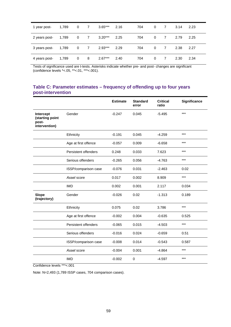| 1 year post-  | 1,789 | 0                       | 7 | $3.65***$ | 2.16 | 704 | 0        | 7 | 3.14 | 2.23 |
|---------------|-------|-------------------------|---|-----------|------|-----|----------|---|------|------|
| 2 years post- | 1,789 | $\mathbf{0}$            | 7 | $3.20***$ | 2.25 | 704 | $\Omega$ | 7 | 2.79 | 2.25 |
| 3 years post- | 1,789 | $\overline{\mathbf{0}}$ | 7 | $2.93***$ | 2.29 | 704 | $\Omega$ | 7 | 2.38 | 2.27 |
| 4 years post- | 1,789 | $\mathbf 0$             | 8 | $2.67***$ | 2.40 | 704 | 0        | 7 | 2.30 | 2.34 |

Tests of significance used are t-tests. Asterisks indicate whether pre- and post- changes are significant (confidence levels \*<.05, \*\*<.01, \*\*\*<.001).

#### **Table C: Parameter estimates – frequency of offending up to four years post-intervention**

|                                                        |                      | <b>Estimate</b> | <b>Standard</b><br>error | <b>Critical</b><br>ratio | <b>Significance</b> |
|--------------------------------------------------------|----------------------|-----------------|--------------------------|--------------------------|---------------------|
| Intercept<br>(starting point<br>post-<br>intervention) | Gender               | $-0.247$        | 0.045                    | $-5.495$                 | $***$               |
|                                                        | Ethnicity            | $-0.191$        | 0.045                    | $-4.259$                 | $***$               |
|                                                        | Age at first offence | $-0.057$        | 0.009                    | $-6.658$                 | $***$               |
|                                                        | Persistent offenders | 0.248           | 0.033                    | 7.623                    | $***$               |
|                                                        | Serious offenders    | $-0.265$        | 0.056                    | $-4.763$                 | $***$               |
|                                                        | ISSP/comparison case | $-0.076$        | 0.031                    | $-2.463$                 | 0.02                |
|                                                        | Asset score          | 0.017           | 0.002                    | 8.909                    | $***$               |
|                                                        | <b>IMD</b>           | 0.002           | 0.001                    | 2.117                    | 0.034               |
| <b>Slope</b><br>(trajectory)                           | Gender               | $-0.026$        | 0.02                     | $-1.313$                 | 0.189               |
|                                                        | Ethnicity            | 0.075           | 0.02                     | 3.786                    | $***$               |
|                                                        | Age at first offence | $-0.002$        | 0.004                    | $-0.635$                 | 0.525               |
|                                                        | Persistent offenders | $-0.065$        | 0.015                    | $-4.503$                 | $***$               |
|                                                        | Serious offenders    | $-0.016$        | 0.024                    | $-0.659$                 | 0.51                |
|                                                        | ISSP/comparison case | $-0.008$        | 0.014                    | $-0.543$                 | 0.587               |
|                                                        | Asset score          | $-0.004$        | 0.001                    | $-4.864$                 | $***$               |
|                                                        | <b>IMD</b>           | $-0.002$        | $\mathbf 0$              | $-4.597$                 | $***$               |

Confidence levels \*\*\*<.001

Note: N=2,493 (1,789 ISSP cases, 704 comparison cases).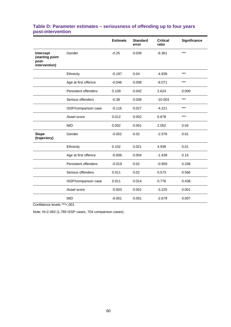| Table D: Parameter estimates – seriousness of offending up to four years |  |  |
|--------------------------------------------------------------------------|--|--|
| post-intervention                                                        |  |  |

|                                                        |                      | <b>Estimate</b> | <b>Standard</b><br>error | <b>Critical</b><br>ratio | Significance |
|--------------------------------------------------------|----------------------|-----------------|--------------------------|--------------------------|--------------|
| Intercept<br>(starting point<br>post-<br>intervention) | Gender               | $-0.25$         | 0.039                    | $-6.361$                 | $***$        |
|                                                        | Ethnicity            | $-0.197$        | 0.04                     | $-4.939$                 | $***$        |
|                                                        | Age at first offence | $-0.046$        | 0.008                    | $-6.071$                 | $***$        |
|                                                        | Persistent offenders | 0.109           | 0.042                    | 2.624                    | 0.009        |
|                                                        | Serious offenders    | $-0.38$         | 0.038                    | $-10.003$                | $***$        |
|                                                        | ISSP/comparison case | $-0.116$        | 0.027                    | $-4.221$                 | $***$        |
|                                                        | Asset score          | 0.012           | 0.002                    | 6.678                    | $***$        |
|                                                        | <b>IMD</b>           | 0.002           | 0.001                    | 2.052                    | 0.04         |
| <b>Slope</b><br>(trajectory)                           | Gender               | $-0.052$        | 0.02                     | $-2.576$                 | 0.01         |
|                                                        | Ethnicity            | 0.102           | 0.021                    | 4.939                    | 0.01         |
|                                                        | Age at first offence | $-0.006$        | 0.004                    | $-1.439$                 | 0.15         |
|                                                        | Persistent offenders | $-0.019$        | 0.02                     | $-0.959$                 | 0.338        |
|                                                        | Serious offenders    | 0.011           | 0.02                     | 0.573                    | 0.566        |
|                                                        | ISSP/comparison case | 0.011           | 0.014                    | 0.776                    | 0.438        |
|                                                        | Asset score          | $-0.003$        | 0.001                    | $-3.225$                 | 0.001        |
|                                                        | <b>IMD</b>           | $-0.001$        | 0.001                    | $-2.679$                 | 0.007        |

Confidence levels \*\*\*<.001

Note: N=2,493 (1,789 ISSP cases, 704 comparison cases).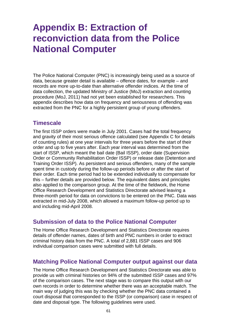# **Appendix B: Extraction of reconviction data from the Police National Computer**

The Police National Computer (PNC) is increasingly being used as a source of data, because greater detail is available – offence dates, for example – and records are more up-to-date than alternative offender indices. At the time of data collection, the updated Ministry of Justice (MoJ) extraction and counting procedure (MoJ, 2011) had not yet been established for researchers. This appendix describes how data on frequency and seriousness of offending was extracted from the PNC for a highly persistent group of young offenders.

## **Timescale**

The first ISSP orders were made in July 2001. Cases had the total frequency and gravity of their most serious offence calculated (see Appendix C for details of counting rules) at one year intervals for three years before the start of their order and up to five years after. Each year interval was determined from the start of ISSP, which meant the bail date (Bail ISSP), order date (Supervision Order or Community Rehabilitation Order ISSP) or release date (Detention and Training Order ISSP). As persistent and serious offenders, many of the sample spent time in custody during the follow-up periods before or after the start of their order. Each time period had to be extended individually to compensate for this – further details are provided below. The equivalent dates and principles also applied to the comparison group. At the time of the fieldwork, the Home Office Research Development and Statistics Directorate advised leaving a three-month period for data on convictions to be entered on the PNC. Data was extracted in mid-July 2008, which allowed a maximum follow-up period up to and including mid-April 2008.

# **Submission of data to the Police National Computer**

The Home Office Research Development and Statistics Directorate requires details of offender names, dates of birth and PNC numbers in order to extract criminal history data from the PNC. A total of 2,881 ISSP cases and 906 individual comparison cases were submitted with full details.

## **Matching Police National Computer output against our data**

The Home Office Research Development and Statistics Directorate was able to provide us with criminal histories on 94% of the submitted ISSP cases and 97% of the comparison cases. The next stage was to compare this output with our own records in order to determine whether there was an acceptable match. The main way of judging this was by checking whether the PNC data contained a court disposal that corresponded to the ISSP (or comparison) case in respect of date and disposal type. The following guidelines were used.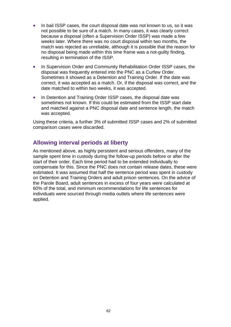- In bail ISSP cases, the court disposal date was not known to us, so it was not possible to be sure of a match. In many cases, it was clearly correct because a disposal (often a Supervision Order ISSP) was made a few weeks later. Where there was no court disposal within two months, the match was rejected as unreliable, although it is possible that the reason for no disposal being made within this time frame was a not-guilty finding, resulting in termination of the ISSP.
- In Supervision Order and Community Rehabilitation Order ISSP cases, the disposal was frequently entered into the PNC as a Curfew Order. Sometimes it showed as a Detention and Training Order. If the date was correct, it was accepted as a match. Or, if the disposal was correct, and the date matched to within two weeks, it was accepted.
- In Detention and Training Order ISSP cases, the disposal date was sometimes not known. If this could be estimated from the ISSP start date and matched against a PNC disposal date and sentence length, the match was accepted.

Using these criteria, a further 3% of submitted ISSP cases and 2% of submitted comparison cases were discarded.

# **Allowing interval periods at liberty**

As mentioned above, as highly persistent and serious offenders, many of the sample spent time in custody during the follow-up periods before or after the start of their order. Each time period had to be extended individually to compensate for this. Since the PNC does not contain release dates, these were estimated. It was assumed that half the sentence period was spent in custody on Detention and Training Orders and adult prison sentences. On the advice of the Parole Board, adult sentences in excess of four years were calculated at 60% of the total, and minimum recommendations for life sentences for individuals were sourced through media outlets where life sentences were applied.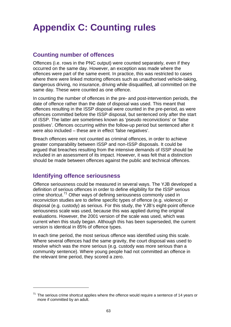# **Appendix C: Counting rules**

# **Counting number of offences**

Offences (i.e. rows in the PNC output) were counted separately, even if they occurred on the same day. However, an exception was made where the offences were part of the same event. In practice, this was restricted to cases where there were linked motoring offences such as unauthorised vehicle-taking, dangerous driving, no insurance, driving while disqualified, all committed on the same day. These were counted as one offence.

In counting the number of offences in the pre- and post-intervention periods, the date of offence rather than the date of disposal was used. This meant that offences resulting in the ISSP disposal were counted in the pre-period, as were offences committed before the ISSP disposal, but sentenced only after the start of ISSP. The latter are sometimes known as 'pseudo reconvictions' or 'false positives'. Offences occurring within the follow-up period but sentenced after it were also included – these are in effect 'false negatives'.

Breach offences were not counted as criminal offences, in order to achieve greater comparability between ISSP and non-ISSP disposals. It could be argued that breaches resulting from the intensive demands of ISSP should be included in an assessment of its impact. However, it was felt that a distinction should be made between offences against the public and technical offences.

# **Identifying offence seriousness**

1

Offence seriousness could be measured in several ways. The YJB developed a definition of serious offences in order to define eligibility for the ISSP serious crime shortcut.<sup>[71](#page-62-0)</sup> Other ways of defining seriousness commonly used in reconviction studies are to define specific types of offence (e.g. violence) or disposal (e.g. custody) as serious. For this study, the YJB's eight-point offence seriousness scale was used, because this was applied during the original evaluations. However, the 2001 version of the scale was used, which was current when this study began. Although this has been superseded, the current version is identical in 85% of offence types.

In each time period, the most serious offence was identified using this scale. Where several offences had the same gravity, the court disposal was used to resolve which was the more serious (e.g. custody was more serious than a community sentence). Where young people had not committed an offence in the relevant time period, they scored a zero.

<span id="page-62-0"></span> $71$  The serious crime shortcut applies where the offence would require a sentence of 14 years or more if committed by an adult.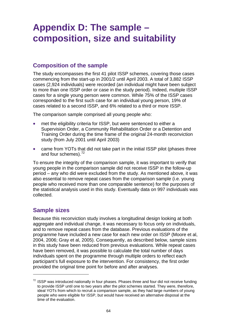# **Appendix D: The sample – composition, size and suitability**

# **Composition of the sample**

The study encompasses the first 41 pilot ISSP schemes, covering those cases commencing from the start-up in 2001/2 until April 2003. A total of 3,882 ISSP cases (2,924 individuals) were recorded (an individual might have been subject to more than one ISSP order or case in the study period). Indeed, multiple ISSP cases for a single young person were common. While 75% of the ISSP cases corresponded to the first such case for an individual young person, 19% of cases related to a second ISSP, and 6% related to a third or more ISSP.

The comparison sample comprised all young people who:

- met the eligibility criteria for ISSP, but were sentenced to either a Supervision Order, a Community Rehabilitation Order or a Detention and Training Order during the time frame of the original 24-month reconviction study (from July 2001 until April 2003)
- came from YOTs that did not take part in the initial ISSP pilot (phases three and four schemes).<sup>[72](#page-63-0)</sup>

To ensure the integrity of the comparison sample, it was important to verify that young people in the comparison sample did not receive ISSP in the follow-up period – any who did were excluded from the study. As mentioned above, it was also essential to remove repeat cases from the comparison sample (i.e. young people who received more than one comparable sentence) for the purposes of the statistical analysis used in this study. Eventually data on 997 individuals was collected.

# **Sample sizes**

1

Because this reconviction study involves a longitudinal design looking at both aggregate and individual change, it was necessary to focus only on individuals, and to remove repeat cases from the database. Previous evaluations of the programme have included a new case for each new order on ISSP (Moore et al, 2004, 2006; Gray et al, 2005). Consequently, as described below, sample sizes in this study have been reduced from previous evaluations. While repeat cases have been removed, it was possible to calculate the total number of days individuals spent on the programme through multiple orders to reflect each participant's full exposure to the intervention. For consistency, the first order provided the original time point for before and after analyses.

<span id="page-63-0"></span> $72$  ISSP was introduced nationally in four phases. Phases three and four did not receive funding to provide ISSP until one to two years after the pilot schemes started. They were, therefore, ideal YOTs from which to recruit a comparison sample, as they had large numbers of young people who were eligible for ISSP, but would have received an alternative disposal at the time of the evaluation.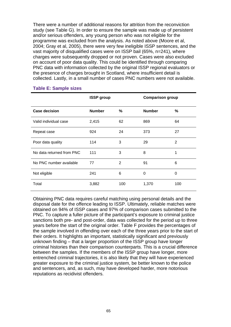There were a number of additional reasons for attrition from the reconviction study (see Table G). In order to ensure the sample was made up of persistent and/or serious offenders, any young person who was not eligible for the programme was excluded from the analysis. As noted above (Moore et al, 2004; Gray et al, 2005), there were very few ineligible ISSP sentences, and the vast majority of disqualified cases were on ISSP bail (65%, n=241), where charges were subsequently dropped or not proven. Cases were also excluded on account of poor data quality. This could be identified through comparing PNC data with information collected by the original ISSP regional evaluators or the presence of charges brought in Scotland, where insufficient detail is collected. Lastly, in a small number of cases PNC numbers were not available.

|                           | <b>ISSP group</b> |     | <b>Comparison group</b> |     |
|---------------------------|-------------------|-----|-------------------------|-----|
| <b>Case decision</b>      | <b>Number</b>     | %   | <b>Number</b>           | %   |
| Valid individual case     | 2,415             | 62  | 869                     | 64  |
| Repeat case               | 924               | 24  | 373                     | 27  |
| Poor data quality         | 114               | 3   | 29                      | 2   |
| No data returned from PNC | 111               | 3   | 8                       | 1   |
| No PNC number available   | 77                | 2   | 91                      | 6   |
| Not eligible              | 241               | 6   | $\Omega$                | 0   |
| Total                     | 3,882             | 100 | 1,370                   | 100 |

#### **Table E: Sample sizes**

Obtaining PNC data requires careful matching using personal details and the disposal date for the offence leading to ISSP. Ultimately, reliable matches were obtained on 94% of ISSP cases and 97% of comparison cases submitted to the PNC. To capture a fuller picture of the participant's exposure to criminal justice sanctions both pre- and post-order, data was collected for the period up to three years before the start of the original order. Table F provides the percentages of the sample involved in offending over each of the three years prior to the start of their orders. It highlights an important, statistically significant and previously unknown finding – that a larger proportion of the ISSP group have longer criminal histories than their comparison counterparts. This is a crucial difference between the samples. If the members of the ISSP group have longer, more entrenched criminal trajectories, it is also likely that they will have experienced greater exposure to the criminal justice system, be better known to the police and sentencers, and, as such, may have developed harder, more notorious reputations as recidivist offenders.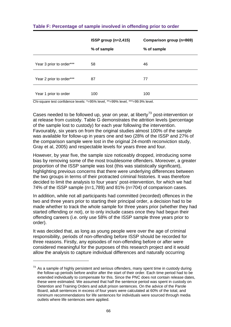|                          | $ISSP$ group (n=2,415) | Comparison group (n=869) |
|--------------------------|------------------------|--------------------------|
|                          | % of sample            | % of sample              |
| Year 3 prior to order*** | 58                     | 46                       |
| Year 2 prior to order*** | 87                     | 77                       |
| Year 1 prior to order    | 100                    | 100                      |

### **Table F: Percentage of sample involved in offending prior to order**

Chi-square test confidence levels: \*=95% level, \*\*=99% level, \*\*\*=99.9% level.

Cases needed to be followed up, year on year, at liberty<sup>[73](#page-65-0)</sup> post-intervention or at release from custody. Table G demonstrates the attrition levels (percentage of the sample lost to custody) for each year following the intervention. Favourably, six years on from the original studies almost 100% of the sample was available for follow-up in years one and two (28% of the ISSP and 27% of the comparison sample were lost in the original 24-month reconviction study, Gray et al, 2005) and respectable levels for years three and four.

However, by year five, the sample size noticeably dropped, introducing some bias by removing some of the most troublesome offenders. Moreover, a greater proportion of the ISSP sample was lost (this was statistically significant), highlighting previous concerns that there were underlying differences between the two groups in terms of their protracted criminal histories. It was therefore decided to limit the analysis to four years' post-intervention, for which we had 74% of the ISSP sample (n=1,789) and 81% (n=704) of comparison cases.

In addition, while not all participants had committed (recorded) offences in the two and three years prior to starting their principal order, a decision had to be made whether to track the whole sample for three years prior (whether they had started offending or not), or to only include cases once they had begun their offending careers (i.e. only use 58% of the ISSP sample three years prior to order).

It was decided that, as long as young people were over the age of criminal responsibility, periods of non-offending before ISSP should be recorded for three reasons. Firstly, any episodes of non-offending before or after were considered meaningful for the purposes of this research project and it would allow the analysis to capture individual differences and naturally occurring

<span id="page-65-0"></span> $73$  As a sample of highly persistent and serious offenders, many spent time in custody during the follow-up periods before and/or after the start of their order. Each time period had to be extended individually to compensate for this. Since the PNC does not contain release dates, these were estimated. We assumed that half the sentence period was spent in custody on Detention and Training Orders and adult prison sentences. On the advice of the Parole Board, adult sentences in excess of four years were calculated at 60% of the total, and minimum recommendations for life sentences for individuals were sourced through media outlets where life sentences were applied.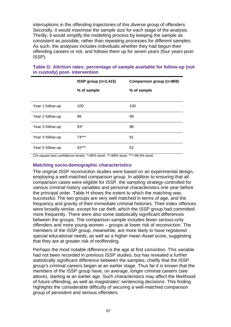interruptions in the offending trajectories of this diverse group of offenders. Secondly, it would maximise the sample size for each stage of the analysis. Thirdly, it would simplify the modelling process by keeping the sample as consistent as possible, rather than repeating processes for different samples. As such, the analyses includes individuals whether they had begun their offending careers or not, and follows them up for seven years (four years post-ISSP).

|                  | ISSP group (n=2,415) | Comparison group (n=869) |
|------------------|----------------------|--------------------------|
|                  | % of sample          | % of sample              |
|                  |                      |                          |
| Year 1 follow-up | 100                  | 100                      |
| Year 2 follow-up | 99                   | 99                       |
| Year 3 follow-up | $93*$                | 96                       |
| Year 4 follow-up | 74***                | 81                       |
| Year 5 follow-up | 42***                | 52                       |

### **Table G: Attrition rates: percentage of sample available for follow-up (not in custody) post- intervention**

Chi-square test confidence levels: \*=95% level, \*\*=99% level, \*\*\*=99.9% level.

#### **Matching socio-demographic characteristics**

The original ISSP reconviction studies were based on an experimental design, employing a well-matched comparison group. In addition to ensuring that all comparison cases were eligible for ISSP, the sampling strategy controlled for various criminal history variables and personal characteristics one year before the principal order. Table H shows the extent to which the matching was successful. The two groups are very well matched in terms of age, and the frequency and gravity of their immediate criminal histories. Their index offences were broadly similar, except for car theft, which the ISSP group had committed more frequently. There were also some statistically significant differences between the groups. The comparison sample includes fewer serious-only offenders and more young women – groups at lower risk of reconviction. The members of the ISSP group, meanwhile, are more likely to have registered special educational needs, as well as a higher mean *Asset* score, suggesting that they are at greater risk of reoffending.

Perhaps the most notable difference is the age at first conviction. This variable had not been recorded in previous ISSP studies, but has revealed a further statistically significant difference between the samples, chiefly that the ISSP group's criminal careers began at an earlier stage. Thus far it is known that the members of the ISSP group have, on average, longer criminal careers (see above), starting at an earlier age. Such characteristics may affect the likelihood of future offending, as well as magistrates' sentencing decisions. This finding highlights the considerable difficulty of securing a well-matched comparison group of persistent and serious offenders.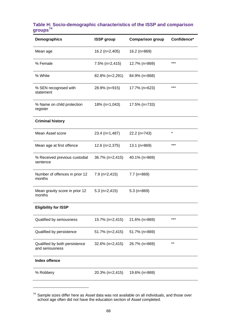#### **Table H: Socio-demographic characteristics of the ISSP and comparison groups[74](#page-67-0)**

| Demographics                                     | <b>ISSP</b> group | <b>Comparison group</b> | Confidence* |
|--------------------------------------------------|-------------------|-------------------------|-------------|
| Mean age                                         | $16.2$ (n=2,405)  | 16.2 (n=869)            |             |
| % Female                                         | $7.5\%$ (n=2,415) | 12.7% (n=869)           | $***$       |
| % White                                          | 82.8% (n=2,291)   | 84.9% (n=868)           |             |
| % SEN recognised with<br>statement               | 28.9% (n=915)     | 17.7% (n=623)           | $***$       |
| % Name on child protection<br>register           | 18% (n=1,043)     | 17.5% (n=733)           |             |
| <b>Criminal history</b>                          |                   |                         |             |
| Mean Asset score                                 | 23.4 (n=1,487)    | 22.2 (n=743)            | $\star$     |
| Mean age at first offence                        | $12.6$ (n=2,375)  | 13.1 ( $n=869$ )        | $***$       |
| % Received previous custodial<br>sentence        | 36.7% (n=2,415)   | 40.1% (n=869)           |             |
| Number of offences in prior 12<br>months         | $7.9$ (n=2,415)   | $7.7$ (n=869)           |             |
| Mean gravity score in prior 12<br>months         | $5.3$ (n=2,415)   | $5.3$ (n=869)           |             |
| <b>Eligibility for ISSP</b>                      |                   |                         |             |
| Qualified by seriousness                         | 15.7% (n=2,415)   | 21.6% (n=869)           | $***$       |
| Qualified by persistence                         | 51.7% (n=2,415)   | 51.7% (n=869)           |             |
| Qualified by both persistence<br>and seriousness | 32.6% (n=2,415)   | 26.7% (n=869)           | $***$       |
| <b>Index offence</b>                             |                   |                         |             |
| % Robbery                                        | 20.3% (n=2,415)   | 19.6% (n=869)           |             |

<span id="page-67-0"></span><sup>74</sup> Sample sizes differ here as *Asset* data was not available on all individuals, and those over school age often did not have the education section of *Asset* completed.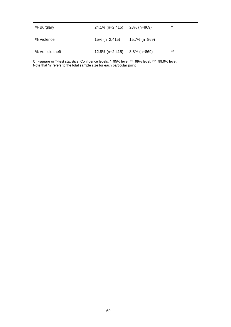| % Burglary      | 24.1% (n=2,415)    | 28% (n=869)   | $\ast$ |
|-----------------|--------------------|---------------|--------|
| % Violence      | 15% (n=2,415)      | 15.7% (n=869) |        |
| % Vehicle theft | $12.8\%$ (n=2,415) | 8.8% (n=869)  | $***$  |

Chi-square or T-test statistics. Confidence levels: \*=95% level, \*\*=99% level, \*\*\*=99.9% level. Note that 'n' refers to the total sample size for each particular point.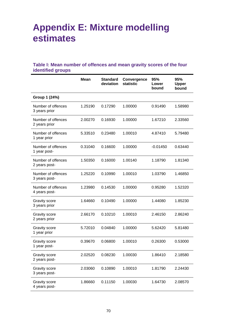# **Appendix E: Mixture modelling estimates**

## **Table I: Mean number of offences and mean gravity scores of the four identified groups**

|                                       | <b>Mean</b> | <b>Standard</b><br>deviation | Convergence<br><b>statistic</b> | 95%<br>Lower<br>bound | 95%<br><b>Upper</b><br>bound |
|---------------------------------------|-------------|------------------------------|---------------------------------|-----------------------|------------------------------|
| Group 1 (24%)                         |             |                              |                                 |                       |                              |
| Number of offences<br>3 years prior   | 1.25190     | 0.17290                      | 1.00000                         | 0.91490               | 1.58980                      |
| Number of offences<br>2 years prior   | 2.00270     | 0.16930                      | 1.00000                         | 1.67210               | 2.33560                      |
| Number of offences<br>1 year prior    | 5.33510     | 0.23480                      | 1.00010                         | 4.87410               | 5.79480                      |
| Number of offences<br>1 year post-    | 0.31040     | 0.16600                      | 1.00000                         | $-0.01450$            | 0.63440                      |
| Number of offences<br>2 years post-   | 1.50350     | 0.16000                      | 1.00140                         | 1.18790               | 1.81340                      |
| Number of offences<br>3 years post-   | 1.25220     | 0.10990                      | 1.00010                         | 1.03790               | 1.46850                      |
| Number of offences<br>4 years post-   | 1.23980     | 0.14530                      | 1.00000                         | 0.95280               | 1.52320                      |
| Gravity score<br>3 years prior        | 1.64660     | 0.10490                      | 1.00000                         | 1.44080               | 1.85230                      |
| <b>Gravity score</b><br>2 years prior | 2.66170     | 0.10210                      | 1.00010                         | 2.46150               | 2.86240                      |
| <b>Gravity score</b><br>1 year prior  | 5.72010     | 0.04840                      | 1.00000                         | 5.62420               | 5.81480                      |
| <b>Gravity score</b><br>1 year post-  | 0.39670     | 0.06800                      | 1.00010                         | 0.26300               | 0.53000                      |
| <b>Gravity score</b><br>2 years post- | 2.02520     | 0.08230                      | 1.00030                         | 1.86410               | 2.18580                      |
| <b>Gravity score</b><br>3 years post- | 2.03060     | 0.10890                      | 1.00010                         | 1.81790               | 2.24430                      |
| <b>Gravity score</b><br>4 years post- | 1.86660     | 0.11150                      | 1.00030                         | 1.64730               | 2.08570                      |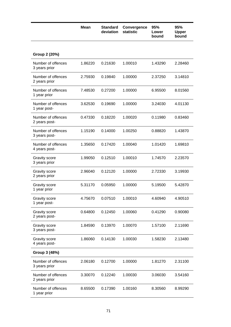|                                       | <b>Mean</b> | <b>Standard</b><br>deviation | Convergence<br>statistic | 95%<br>Lower<br>bound | 95%<br><b>Upper</b><br>bound |
|---------------------------------------|-------------|------------------------------|--------------------------|-----------------------|------------------------------|
|                                       |             |                              |                          |                       |                              |
| Group 2 (20%)                         |             |                              |                          |                       |                              |
| Number of offences<br>3 years prior   | 1.86220     | 0.21630                      | 1.00010                  | 1.43290               | 2.28460                      |
| Number of offences<br>2 years prior   | 2.75930     | 0.19840                      | 1.00000                  | 2.37250               | 3.14810                      |
| Number of offences<br>1 year prior    | 7.48530     | 0.27200                      | 1.00000                  | 6.95500               | 8.01560                      |
| Number of offences<br>1 year post-    | 3.62530     | 0.19690                      | 1.00000                  | 3.24030               | 4.01130                      |
| Number of offences<br>2 years post-   | 0.47330     | 0.18220                      | 1.00020                  | 0.11980               | 0.83460                      |
| Number of offences<br>3 years post-   | 1.15190     | 0.14000                      | 1.00250                  | 0.88820               | 1.43870                      |
| Number of offences<br>4 years post-   | 1.35650     | 0.17420                      | 1.00040                  | 1.01420               | 1.69810                      |
| <b>Gravity score</b><br>3 years prior | 1.99050     | 0.12510                      | 1.00010                  | 1.74570               | 2.23570                      |
| Gravity score<br>2 years prior        | 2.96040     | 0.12120                      | 1.00000                  | 2.72330               | 3.19930                      |
| <b>Gravity score</b><br>1 year prior  | 5.31170     | 0.05950                      | 1.00000                  | 5.19500               | 5.42870                      |
| <b>Gravity score</b><br>1 year post-  | 4.75670     | 0.07510                      | 1.00010                  | 4.60940               | 4.90510                      |
| Gravity score<br>2 years post-        | 0.64800     | 0.12450                      | 1.00060                  | 0.41290               | 0.90080                      |
| Gravity score<br>3 years post-        | 1.84590     | 0.13970                      | 1.00070                  | 1.57100               | 2.11690                      |
| Gravity score<br>4 years post-        | 1.86060     | 0.14130                      | 1.00030                  | 1.58230               | 2.13480                      |
| Group 3 (48%)                         |             |                              |                          |                       |                              |
| Number of offences<br>3 years prior   | 2.06180     | 0.12700                      | 1.00000                  | 1.81270               | 2.31100                      |
| Number of offences<br>2 years prior   | 3.30070     | 0.12240                      | 1.00030                  | 3.06030               | 3.54160                      |
| Number of offences<br>1 year prior    | 8.65500     | 0.17390                      | 1.00160                  | 8.30560               | 8.99290                      |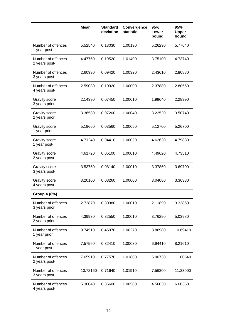|                                       | <b>Mean</b> | <b>Standard</b><br>deviation | Convergence<br>statistic | 95%<br>Lower<br>bound | 95%<br>Upper<br>bound |
|---------------------------------------|-------------|------------------------------|--------------------------|-----------------------|-----------------------|
| Number of offences<br>1 year post-    | 5.52540     | 0.13030                      | 1.00190                  | 5.26290               | 5.77640               |
| Number of offences<br>2 years post-   | 4.47750     | 0.19520                      | 1.01400                  | 3.75100               | 4.73740               |
| Number of offences<br>3 years post-   | 2.60930     | 0.09420                      | 1.00320                  | 2.43610               | 2.80880               |
| Number of offences<br>4 years post-   | 2.59080     | 0.10920                      | 1.00000                  | 2.37880               | 2.80550               |
| <b>Gravity score</b><br>3 years prior | 2.14390     | 0.07450                      | 1.00010                  | 1.99640               | 2.28990               |
| Gravity score<br>2 years prior        | 3.36580     | 0.07200                      | 1.00040                  | 3.22520               | 3.50740               |
| <b>Gravity score</b><br>1 year prior  | 5.19660     | 0.03560                      | 1.00050                  | 5.12700               | 5.26700               |
| <b>Gravity score</b><br>1 year post-  | 4.71240     | 0.04410                      | 1.00020                  | 4.62630               | 4.79880               |
| <b>Gravity score</b><br>2 years post- | 4.61720     | 0.06100                      | 1.00010                  | 4.49620               | 4.73510               |
| <b>Gravity score</b><br>3 years post- | 3.53760     | 0.08140                      | 1.00010                  | 3.37860               | 3.69700               |
| <b>Gravity score</b><br>4 years post- | 3.20100     | 0.08260                      | 1.00000                  | 3.04080               | 3.36380               |
| Group 4 (8%)                          |             |                              |                          |                       |                       |
| Number of offences<br>3 years prior   | 2.72870     | 0.30980                      | 1.00010                  | 2.11890               | 3.33860               |
| Number of offences<br>2 years prior   | 4.39930     | 0.32550                      | 1.00010                  | 3.76290               | 5.03980               |
| Number of offences<br>1 year prior    | 9.74510     | 0.45970                      | 1.00270                  | 8.86980               | 10.69410              |
| Number of offences<br>1 year post-    | 7.57560     | 0.32410                      | 1.00030                  | 6.94410               | 8.21610               |
| Number of offences<br>2 years post-   | 7.65910     | 0.77570                      | 1.01800                  | 6.90730               | 11.00540              |
| Number of offences<br>3 years post-   | 10.72160    | 0.71640                      | 1.01910                  | 7.56300               | 11.33000              |
| Number of offences<br>4 years post-   | 5.36040     | 0.35600                      | 1.00500                  | 4.56030               | 6.00350               |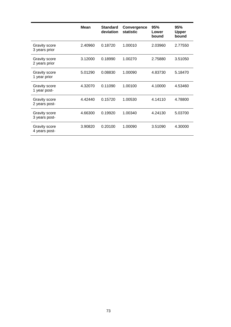|                                       | <b>Mean</b> | <b>Standard</b><br>deviation | Convergence<br><b>statistic</b> | 95%<br>Lower<br>bound | 95%<br><b>Upper</b><br>bound |
|---------------------------------------|-------------|------------------------------|---------------------------------|-----------------------|------------------------------|
| Gravity score<br>3 years prior        | 2.40960     | 0.18720                      | 1.00010                         | 2.03960               | 2.77550                      |
| <b>Gravity score</b><br>2 years prior | 3.12000     | 0.18990                      | 1.00270                         | 2.75880               | 3.51050                      |
| <b>Gravity score</b><br>1 year prior  | 5.01290     | 0.08830                      | 1.00090                         | 4.83730               | 5.18470                      |
| <b>Gravity score</b><br>1 year post-  | 4.32070     | 0.11090                      | 1.00100                         | 4.10000               | 4.53460                      |
| Gravity score<br>2 years post-        | 4.42440     | 0.15720                      | 1.00530                         | 4.14110               | 4.78800                      |
| <b>Gravity score</b><br>3 years post- | 4.66300     | 0.19920                      | 1.00340                         | 4.24130               | 5.03700                      |
| Gravity score<br>4 years post-        | 3.90820     | 0.20100                      | 1.00090                         | 3.51090               | 4.30000                      |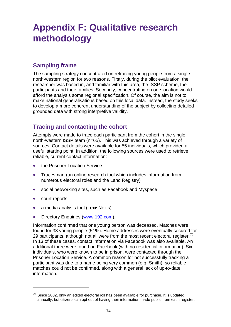## **Appendix F: Qualitative research methodology**

## **Sampling frame**

The sampling strategy concentrated on retracing young people from a single north-western region for two reasons. Firstly, during the pilot evaluation, the researcher was based in, and familiar with this area, the ISSP scheme, the participants and their families. Secondly, concentrating on one location would afford the analysis some regional specification. Of course, the aim is not to make national generalisations based on this local data. Instead, the study seeks to develop a more coherent understanding of the subject by collecting detailed grounded data with strong interpretive validity.

## **Tracing and contacting the cohort**

Attempts were made to trace each participant from the cohort in the single north-western ISSP team (n=65). This was achieved through a variety of sources. Contact details were available for 55 individuals, which provided a useful starting point. In addition, the following sources were used to retrieve reliable, current contact information:

- the Prisoner Location Service
- Tracesmart (an online research tool which includes information from numerous electoral roles and the Land Registry)
- social networking sites, such as Facebook and Myspace
- court reports

1

- a media analysis tool (LexisNexis)
- Directory Enquiries ([www.192.com](http://www.192.com/)).

Information confirmed that one young person was deceased. Matches were found for 33 young people (51%). Home addresses were eventually secured for 29 participants, although not all were from the most recent electoral register.<sup>[75](#page-73-0)</sup> In 13 of these cases, contact information via Facebook was also available. An additional three were found on Facebook (with no residential information). Six individuals, who were known to be in prison, were contacted through the Prisoner Location Service. A common reason for not successfully tracking a participant was due to a name being very common (e.g. Smith), so reliable matches could not be confirmed, along with a general lack of up-to-date information.

<span id="page-73-0"></span> $75$  Since 2002, only an edited electoral roll has been available for purchase. It is updated annually, but citizens can opt out of having their information made public from each register.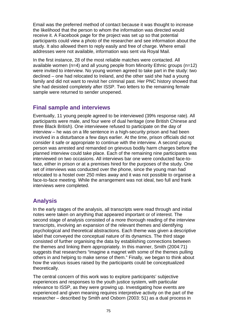Email was the preferred method of contact because it was thought to increase the likelihood that the person to whom the information was directed would receive it. A Facebook page for the project was set up so that potential participants could view a photo of the researcher and see information about the study. It also allowed them to reply easily and free of charge. Where email addresses were not available, information was sent via Royal Mail.

In the first instance, 28 of the most reliable matches were contacted. All available women (n=4) and all young people from Minority Ethnic groups (n=12) were invited to interview. No young women agreed to take part in the study: two declined – one had relocated to Ireland, and the other said she had a young family and did not want to revisit her criminal past. Her PNC history showed that she had desisted completely after ISSP. Two letters to the remaining female sample were returned to sender unopened.

## **Final sample and interviews**

Eventually, 11 young people agreed to be interviewed (39% response rate). All participants were male, and four were of dual heritage (one British Chinese and three Black British). One interviewee refused to participate on the day of interview – he was on a life sentence in a high-security prison and had been involved in a disturbance a few days earlier. At the time, prison officials did not consider it safe or appropriate to continue with the interview. A second young person was arrested and remanded on grievous bodily harm charges before the planned interview could take place. Each of the remaining nine participants was interviewed on two occasions. All interviews bar one were conducted face-toface, either in prison or at a premises hired for the purposes of the study. One set of interviews was conducted over the phone, since the young man had relocated to a hostel over 250 miles away and it was not possible to organise a face-to-face meeting. While the arrangement was not ideal, two full and frank interviews were completed.

## **Analysis**

In the early stages of the analysis, all transcripts were read through and initial notes were taken on anything that appeared important or of interest. The second stage of analysis consisted of a more thorough reading of the interview transcripts, involving an expansion of the relevant themes and identifying psychological and theoretical abstractions. Each theme was given a descriptive label that conveyed the conceptual nature of its dynamics. The third stage consisted of further organising the data by establishing connections between the themes and linking them appropriately. In this manner, Smith (2004:71) suggests that researchers "imagine a magnet with some of the themes pulling others in and helping to make sense of them." Finally, we began to think about how the various issues raised by the participants could be conceptualized theoretically.

The central concern of this work was to explore participants' subjective experiences and responses to the youth justice system, with particular relevance to ISSP, as they were growing up. Investigating how events are experienced and given meaning requires interpretive activity on the part of the researcher – described by Smith and Osborn (2003: 51) as a dual process in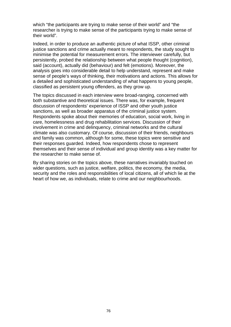which "the participants are trying to make sense of their world" and "the researcher is trying to make sense of the participants trying to make sense of their world".

Indeed, in order to produce an authentic picture of what ISSP, other criminal justice sanctions and crime actually meant to respondents, the study sought to minimise the potential for measurement errors. The interviewer carefully, but persistently, probed the relationship between what people thought (cognition), said (account), actually did (behaviour) and felt (emotions). Moreover, the analysis goes into considerable detail to help understand, represent and make sense of people's ways of thinking, their motivations and actions. This allows for a detailed and sophisticated understanding of what happens to young people, classified as persistent young offenders, as they grow up.

The topics discussed in each interview were broad-ranging, concerned with both substantive and theoretical issues. There was, for example, frequent discussion of respondents' experience of ISSP and other youth justice sanctions, as well as broader apparatus of the criminal justice system. Respondents spoke about their memories of education, social work, living in care, homelessness and drug rehabilitation services. Discussion of their involvement in crime and delinquency, criminal networks and the cultural climate was also customary. Of course, discussion of their friends, neighbours and family was common, although for some, these topics were sensitive and their responses guarded. Indeed, how respondents chose to represent themselves and their sense of individual and group identity was a key matter for the researcher to make sense of.

By sharing stories on the topics above, these narratives invariably touched on wider questions, such as justice, welfare, politics, the economy, the media, security and the roles and responsibilities of local citizens, all of which lie at the heart of how we, as individuals, relate to crime and our neighbourhoods.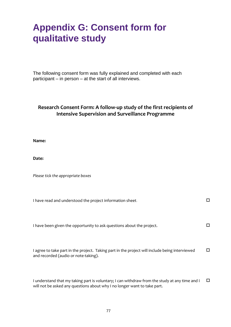## **Appendix G: Consent form for qualitative study**

The following consent form was fully explained and completed with each participant – in person – at the start of all interviews.

#### **Research Consent Form: A follow‐up study of the first recipients of Intensive Supervision and Surveillance Programme**

**Name:**

Date:

*Please tick the appropriate boxes*

| I have read and understood the project information sheet.                                                                              |    |
|----------------------------------------------------------------------------------------------------------------------------------------|----|
| I have been given the opportunity to ask questions about the project.                                                                  | ΙI |
| I agree to take part in the project. Taking part in the project will include being interviewed<br>and recorded (audio or note-taking). | □  |
| I understand that my taking part is voluntary; I can withdraw from the study at any time and I                                         | П  |

derstand that my taking part is voluntary; I can withdraw from the study at any time anc will not be asked any questions about why I no longer want to take part.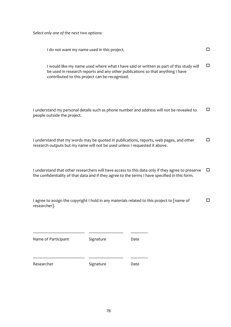*Select only one of the next two options:*

| I do not want my name used in this project.                                                                                                                                                                                | п |
|----------------------------------------------------------------------------------------------------------------------------------------------------------------------------------------------------------------------------|---|
| I would like my name used where what I have said or written as part of this study will<br>be used in research reports and any other publications so that anything I have<br>contributed to this project can be recognised. | □ |
| I understand my personal details such as phone number and address will not be revealed to<br>people outside the project.                                                                                                   | □ |
| I understand that my words may be quoted in publications, reports, web pages, and other<br>research outputs but my name will not be used unless I requested it above.                                                      | П |
| I understand that other researchers will have access to this data only if they agree to preserve<br>the confidentiality of that data and if they agree to the terms I have specified in this form.                         | □ |
|                                                                                                                                                                                                                            |   |

| I agree to assign the copyright I hold in any materials related to this project to [name of |  |
|---------------------------------------------------------------------------------------------|--|
| researcher].                                                                                |  |

| Name of Participant | Signature | Date |
|---------------------|-----------|------|
| Researcher          | Signature | Date |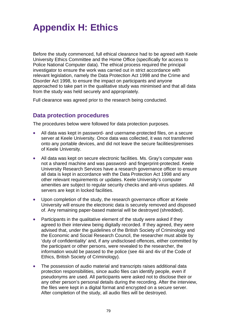# **Appendix H: Ethics**

Before the study commenced, full ethical clearance had to be agreed with Keele University Ethics Committee and the Home Office (specifically for access to Police National Computer data). The ethical process required the principal investigator to ensure the work was carried out in strict accordance with relevant legislation, namely the Data Protection Act 1998 and the Crime and Disorder Act 1998, to ensure the impact on participants and anyone approached to take part in the qualitative study was minimised and that all data from the study was held securely and appropriately.

Full clearance was agreed prior to the research being conducted.

## **Data protection procedures**

The procedures below were followed for data protection purposes.

- All data was kept in password- and username-protected files, on a secure server at Keele University. Once data was collected, it was not transferred onto any portable devices, and did not leave the secure facilities/premises of Keele University.
- All data was kept on secure electronic facilities. Ms. Gray's computer was not a shared machine and was password- and fingerprint-protected. Keele University Research Services have a research governance officer to ensure all data is kept in accordance with the Data Protection Act 1998 and any other relevant requirements or updates. Keele University's computer amenities are subject to regular security checks and anti-virus updates. All servers are kept in locked facilities.
- Upon completion of the study, the research governance officer at Keele University will ensure the electronic data is securely removed and disposed of. Any remaining paper-based material will be destroyed (shredded).
- Participants in the qualitative element of the study were asked if they agreed to their interview being digitally recorded. If they agreed, they were advised that, under the guidelines of the British Society of Criminology and the Economic and Social Research Council, the researcher must abide by 'duty of confidentiality' and, if any undisclosed offences, either committed by the participant or other persons, were revealed to the researcher, the information would be passed to the police (see 4iii and 4iv of the Code of Ethics, British Society of Criminology).
- The possession of audio material and transcripts raises additional data protection responsibilities, since audio files can identify people, even if pseudonyms are used. All participants were asked not to disclose their or any other person's personal details during the recording. After the interview, the files were kept in a digital format and encrypted on a secure server. After completion of the study, all audio files will be destroyed.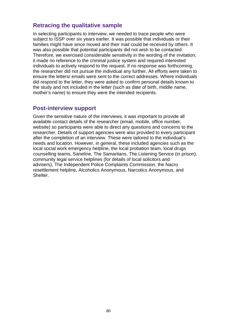### **Retracing the qualitative sample**

In selecting participants to interview, we needed to trace people who were subject to ISSP over six years earlier. It was possible that individuals or their families might have since moved and their mail could be received by others. It was also possible that potential participants did not wish to be contacted. Therefore, we exercised considerable sensitivity in the wording of the invitation; it made no reference to the criminal justice system and required interested individuals to actively respond to the request. If no response was forthcoming, the researcher did not pursue the individual any further. All efforts were taken to ensure the letters/ emails were sent to the correct addresses. Where individuals did respond to the letter, they were asked to confirm personal details known to the study and not included in the letter (such as date of birth, middle name, mother's name) to ensure they were the intended recipients.

#### **Post-interview support**

Given the sensitive nature of the interviews, it was important to provide all available contact details of the researcher (email, mobile, office number, website) so participants were able to direct any questions and concerns to the researcher. Details of support agencies were also provided to every participant after the completion of an interview. These were tailored to the individual's needs and location. However, in general, these included agencies such as the local social work emergency helpline, the local probation team, local drugs counselling teams, Saneline, The Samaritans, The Listening Service (in prison), community legal service helplines (for details of local solicitors and advisers), The Independent Police Complaints Commission, the Nacro resettlement helpline, Alcoholics Anonymous, Narcotics Anonymous, and Shelter.